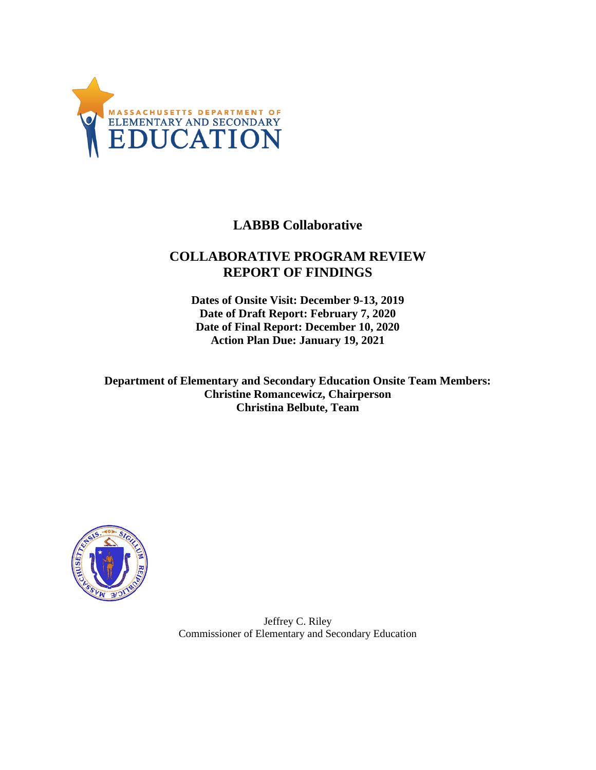

# **LABBB Collaborative**

# **COLLABORATIVE PROGRAM REVIEW REPORT OF FINDINGS**

**Dates of Onsite Visit: December 9-13, 2019 Date of Draft Report: February 7, 2020 Date of Final Report: December 10, 2020 Action Plan Due: January 19, 2021**

**Department of Elementary and Secondary Education Onsite Team Members: Christine Romancewicz, Chairperson Christina Belbute, Team**



Jeffrey C. Riley Commissioner of Elementary and Secondary Education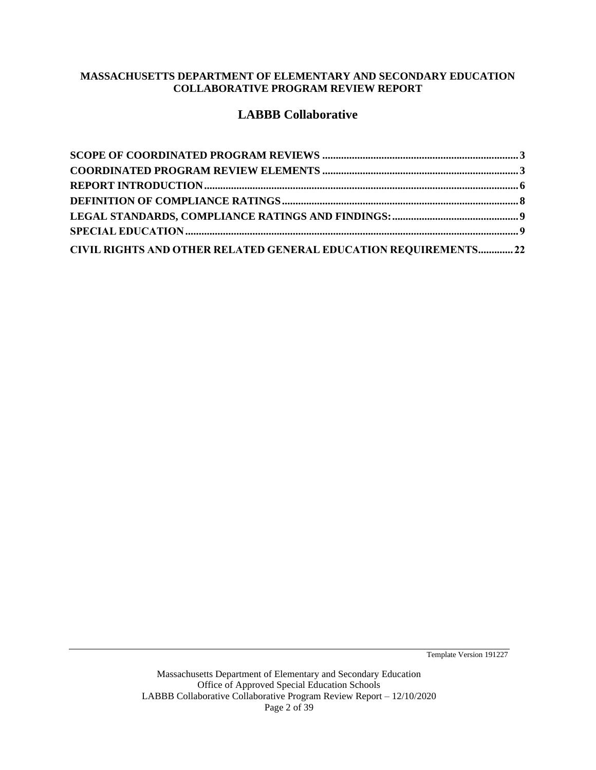#### **MASSACHUSETTS DEPARTMENT OF ELEMENTARY AND SECONDARY EDUCATION COLLABORATIVE PROGRAM REVIEW REPORT**

# **LABBB Collaborative**

| CIVIL RIGHTS AND OTHER RELATED GENERAL EDUCATION REQUIREMENTS22 |  |
|-----------------------------------------------------------------|--|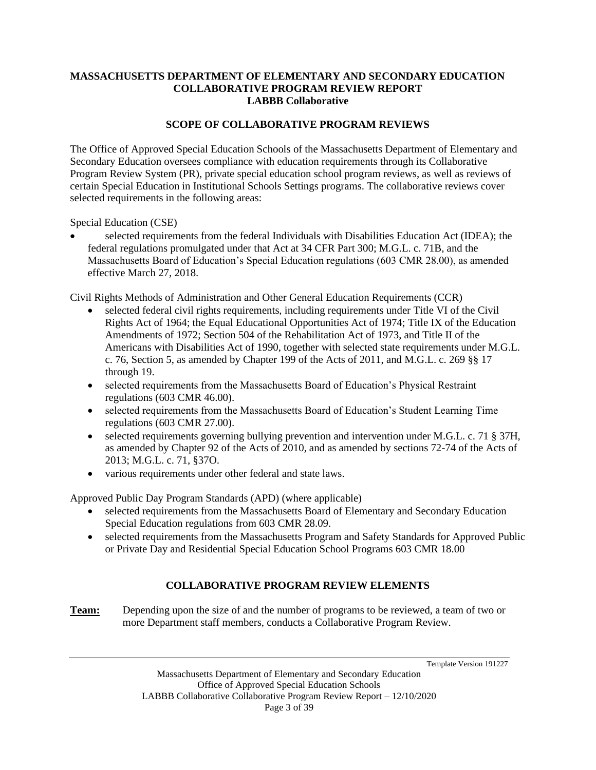#### <span id="page-2-0"></span>**MASSACHUSETTS DEPARTMENT OF ELEMENTARY AND SECONDARY EDUCATION COLLABORATIVE PROGRAM REVIEW REPORT LABBB Collaborative**

## **SCOPE OF COLLABORATIVE PROGRAM REVIEWS**

The Office of Approved Special Education Schools of the Massachusetts Department of Elementary and Secondary Education oversees compliance with education requirements through its Collaborative Program Review System (PR), private special education school program reviews, as well as reviews of certain Special Education in Institutional Schools Settings programs. The collaborative reviews cover selected requirements in the following areas:

Special Education (CSE)

• selected requirements from the federal Individuals with Disabilities Education Act (IDEA); the federal regulations promulgated under that Act at 34 CFR Part 300; M.G.L. c. 71B, and the Massachusetts Board of Education's Special Education regulations (603 CMR 28.00), as amended effective March 27, 2018.

Civil Rights Methods of Administration and Other General Education Requirements (CCR)

- selected federal civil rights requirements, including requirements under Title VI of the Civil Rights Act of 1964; the Equal Educational Opportunities Act of 1974; Title IX of the Education Amendments of 1972; Section 504 of the Rehabilitation Act of 1973, and Title II of the Americans with Disabilities Act of 1990, together with selected state requirements under M.G.L. c. 76, Section 5, as amended by Chapter 199 of the Acts of 2011, and M.G.L. c. 269 §§ 17 through 19.
- selected requirements from the Massachusetts Board of Education's Physical Restraint regulations (603 CMR 46.00).
- selected requirements from the Massachusetts Board of Education's Student Learning Time regulations (603 CMR 27.00).
- selected requirements governing bullying prevention and intervention under M.G.L. c. 71 § 37H, as amended by Chapter 92 of the Acts of 2010, and as amended by sections 72-74 of the Acts of 2013; M.G.L. c. 71, §37O.
- various requirements under other federal and state laws.

Approved Public Day Program Standards (APD) (where applicable)

- selected requirements from the Massachusetts Board of Elementary and Secondary Education Special Education regulations from 603 CMR 28.09.
- selected requirements from the Massachusetts Program and Safety Standards for Approved Public or Private Day and Residential Special Education School Programs 603 CMR 18.00

# <span id="page-2-1"></span>**COLLABORATIVE PROGRAM REVIEW ELEMENTS**

**Team:** Depending upon the size of and the number of programs to be reviewed, a team of two or more Department staff members, conducts a Collaborative Program Review.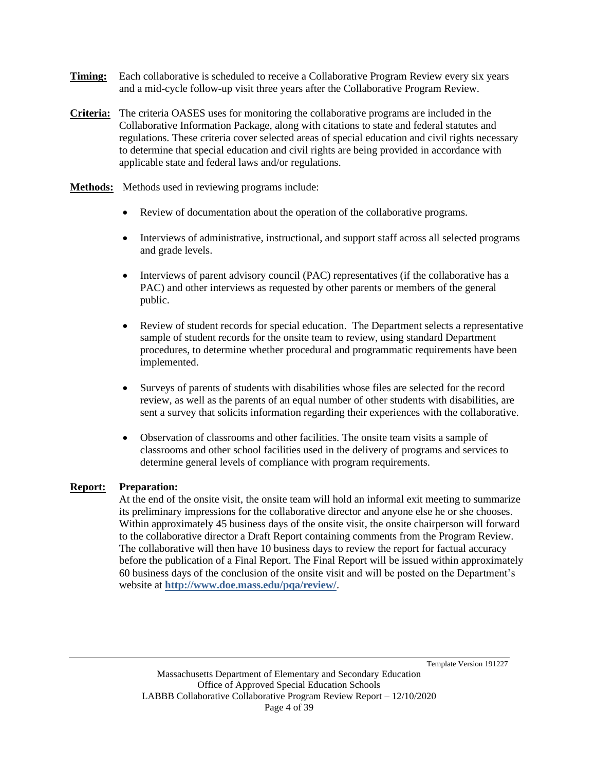- **Timing:** Each collaborative is scheduled to receive a Collaborative Program Review every six years and a mid-cycle follow-up visit three years after the Collaborative Program Review.
- **Criteria:** The criteria OASES uses for monitoring the collaborative programs are included in the Collaborative Information Package, along with citations to state and federal statutes and regulations. These criteria cover selected areas of special education and civil rights necessary to determine that special education and civil rights are being provided in accordance with applicable state and federal laws and/or regulations.
- **Methods:** Methods used in reviewing programs include:
	- Review of documentation about the operation of the collaborative programs.
	- Interviews of administrative, instructional, and support staff across all selected programs and grade levels.
	- Interviews of parent advisory council (PAC) representatives (if the collaborative has a PAC) and other interviews as requested by other parents or members of the general public.
	- Review of student records for special education. The Department selects a representative sample of student records for the onsite team to review, using standard Department procedures, to determine whether procedural and programmatic requirements have been implemented.
	- Surveys of parents of students with disabilities whose files are selected for the record review, as well as the parents of an equal number of other students with disabilities, are sent a survey that solicits information regarding their experiences with the collaborative.
	- Observation of classrooms and other facilities. The onsite team visits a sample of classrooms and other school facilities used in the delivery of programs and services to determine general levels of compliance with program requirements.

### **Report: Preparation:**

At the end of the onsite visit, the onsite team will hold an informal exit meeting to summarize its preliminary impressions for the collaborative director and anyone else he or she chooses. Within approximately 45 business days of the onsite visit, the onsite chairperson will forward to the collaborative director a Draft Report containing comments from the Program Review. The collaborative will then have 10 business days to review the report for factual accuracy before the publication of a Final Report. The Final Report will be issued within approximately 60 business days of the conclusion of the onsite visit and will be posted on the Department's website at **http://www.doe.mass.edu/pqa/review/**.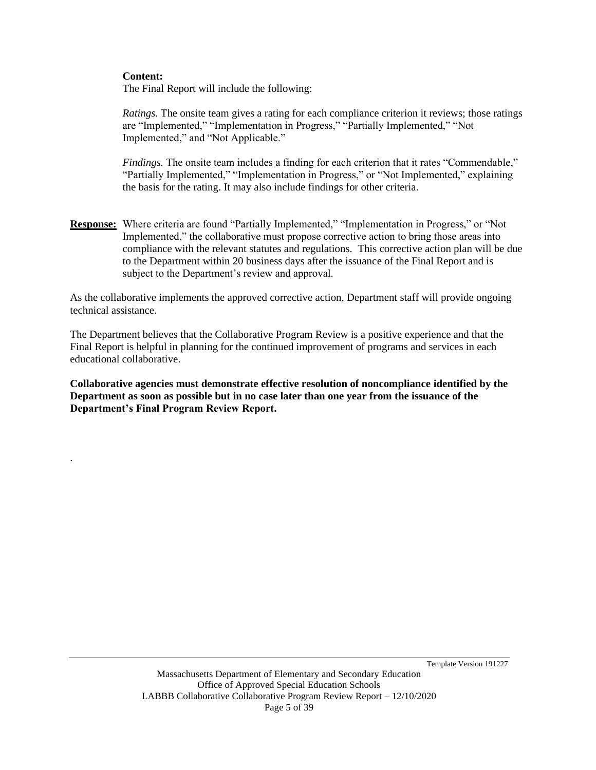#### **Content:**

.

The Final Report will include the following:

*Ratings.* The onsite team gives a rating for each compliance criterion it reviews; those ratings are "Implemented," "Implementation in Progress," "Partially Implemented," "Not Implemented," and "Not Applicable."

*Findings.* The onsite team includes a finding for each criterion that it rates "Commendable," "Partially Implemented," "Implementation in Progress," or "Not Implemented," explaining the basis for the rating. It may also include findings for other criteria.

**Response:** Where criteria are found "Partially Implemented," "Implementation in Progress," or "Not Implemented," the collaborative must propose corrective action to bring those areas into compliance with the relevant statutes and regulations. This corrective action plan will be due to the Department within 20 business days after the issuance of the Final Report and is subject to the Department's review and approval.

As the collaborative implements the approved corrective action, Department staff will provide ongoing technical assistance.

The Department believes that the Collaborative Program Review is a positive experience and that the Final Report is helpful in planning for the continued improvement of programs and services in each educational collaborative.

**Collaborative agencies must demonstrate effective resolution of noncompliance identified by the Department as soon as possible but in no case later than one year from the issuance of the Department's Final Program Review Report.**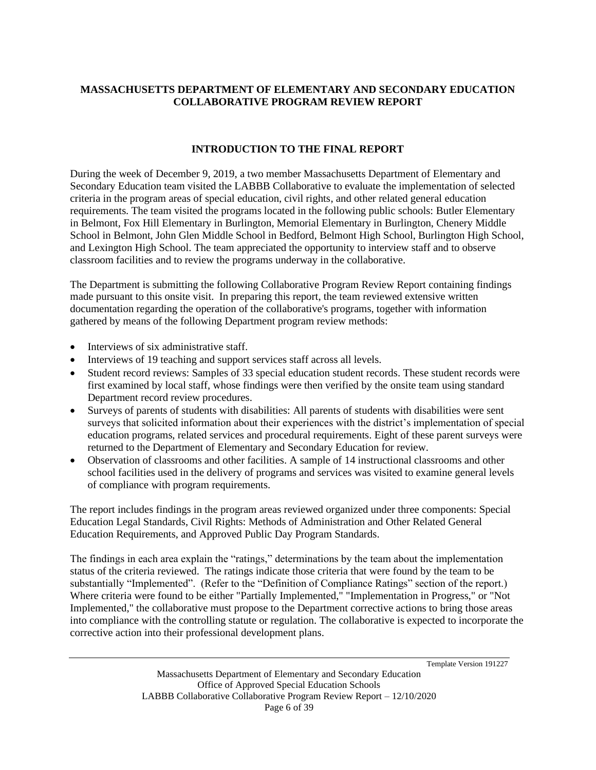### **MASSACHUSETTS DEPARTMENT OF ELEMENTARY AND SECONDARY EDUCATION COLLABORATIVE PROGRAM REVIEW REPORT**

# <span id="page-5-0"></span>**INTRODUCTION TO THE FINAL REPORT**

During the week of December 9, 2019, a two member Massachusetts Department of Elementary and Secondary Education team visited the LABBB Collaborative to evaluate the implementation of selected criteria in the program areas of special education, civil rights, and other related general education requirements. The team visited the programs located in the following public schools: Butler Elementary in Belmont, Fox Hill Elementary in Burlington, Memorial Elementary in Burlington, Chenery Middle School in Belmont, John Glen Middle School in Bedford, Belmont High School, Burlington High School, and Lexington High School. The team appreciated the opportunity to interview staff and to observe classroom facilities and to review the programs underway in the collaborative.

The Department is submitting the following Collaborative Program Review Report containing findings made pursuant to this onsite visit. In preparing this report, the team reviewed extensive written documentation regarding the operation of the collaborative's programs, together with information gathered by means of the following Department program review methods:

- Interviews of six administrative staff.
- Interviews of 19 teaching and support services staff across all levels.
- Student record reviews: Samples of 33 special education student records. These student records were first examined by local staff, whose findings were then verified by the onsite team using standard Department record review procedures.
- Surveys of parents of students with disabilities: All parents of students with disabilities were sent surveys that solicited information about their experiences with the district's implementation of special education programs, related services and procedural requirements. Eight of these parent surveys were returned to the Department of Elementary and Secondary Education for review.
- Observation of classrooms and other facilities. A sample of 14 instructional classrooms and other school facilities used in the delivery of programs and services was visited to examine general levels of compliance with program requirements.

The report includes findings in the program areas reviewed organized under three components: Special Education Legal Standards, Civil Rights: Methods of Administration and Other Related General Education Requirements, and Approved Public Day Program Standards.

The findings in each area explain the "ratings," determinations by the team about the implementation status of the criteria reviewed. The ratings indicate those criteria that were found by the team to be substantially "Implemented". (Refer to the "Definition of Compliance Ratings" section of the report.) Where criteria were found to be either "Partially Implemented," "Implementation in Progress," or "Not Implemented," the collaborative must propose to the Department corrective actions to bring those areas into compliance with the controlling statute or regulation. The collaborative is expected to incorporate the corrective action into their professional development plans.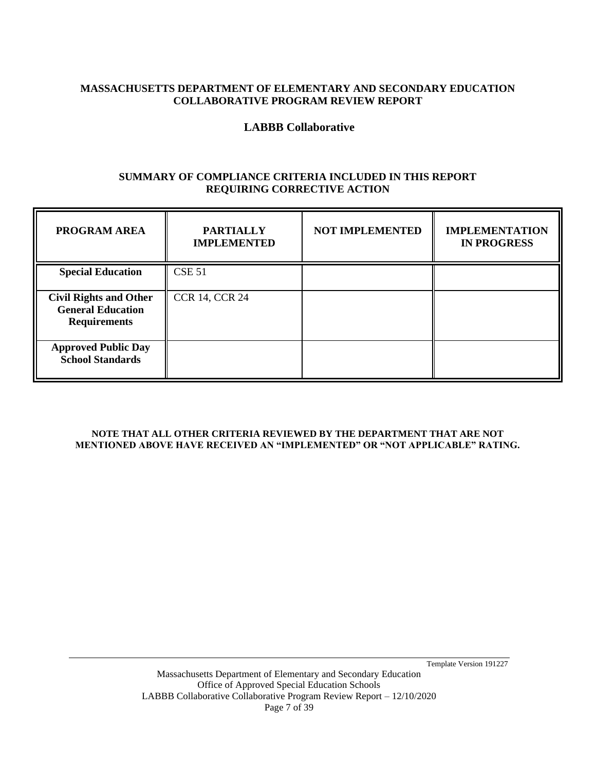### **MASSACHUSETTS DEPARTMENT OF ELEMENTARY AND SECONDARY EDUCATION COLLABORATIVE PROGRAM REVIEW REPORT**

# **LABBB Collaborative**

### **SUMMARY OF COMPLIANCE CRITERIA INCLUDED IN THIS REPORT REQUIRING CORRECTIVE ACTION**

| <b>PROGRAM AREA</b>                                                              | <b>PARTIALLY</b><br><b>IMPLEMENTED</b> | <b>NOT IMPLEMENTED</b> | <b>IMPLEMENTATION</b><br><b>IN PROGRESS</b> |
|----------------------------------------------------------------------------------|----------------------------------------|------------------------|---------------------------------------------|
| <b>Special Education</b>                                                         | <b>CSE 51</b>                          |                        |                                             |
| <b>Civil Rights and Other</b><br><b>General Education</b><br><b>Requirements</b> | <b>CCR 14, CCR 24</b>                  |                        |                                             |
| <b>Approved Public Day</b><br><b>School Standards</b>                            |                                        |                        |                                             |

#### **NOTE THAT ALL OTHER CRITERIA REVIEWED BY THE DEPARTMENT THAT ARE NOT MENTIONED ABOVE HAVE RECEIVED AN "IMPLEMENTED" OR "NOT APPLICABLE" RATING.**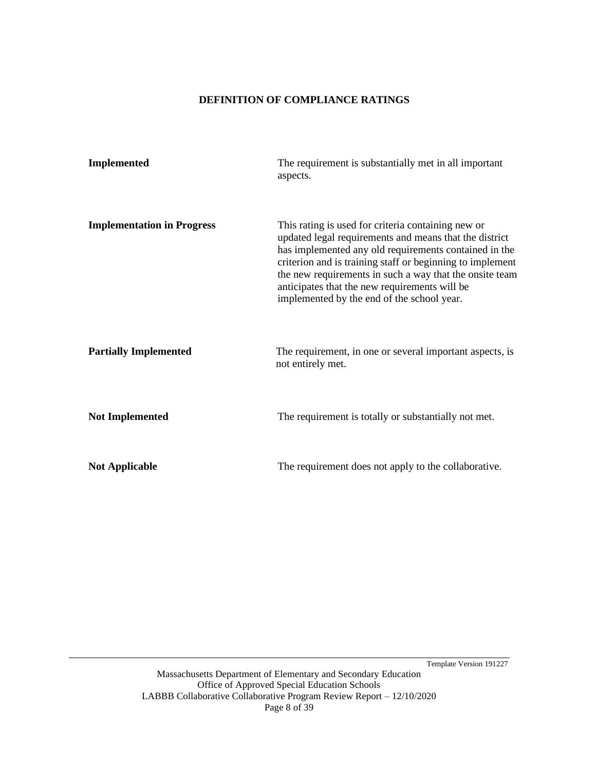#### **DEFINITION OF COMPLIANCE RATINGS**

<span id="page-7-0"></span>

| <b>Implemented</b>                | The requirement is substantially met in all important<br>aspects.                                                                                                                                                                                                                                                                                                                            |
|-----------------------------------|----------------------------------------------------------------------------------------------------------------------------------------------------------------------------------------------------------------------------------------------------------------------------------------------------------------------------------------------------------------------------------------------|
| <b>Implementation in Progress</b> | This rating is used for criteria containing new or<br>updated legal requirements and means that the district<br>has implemented any old requirements contained in the<br>criterion and is training staff or beginning to implement<br>the new requirements in such a way that the onsite team<br>anticipates that the new requirements will be<br>implemented by the end of the school year. |
| <b>Partially Implemented</b>      | The requirement, in one or several important aspects, is<br>not entirely met.                                                                                                                                                                                                                                                                                                                |
| <b>Not Implemented</b>            | The requirement is totally or substantially not met.                                                                                                                                                                                                                                                                                                                                         |
| <b>Not Applicable</b>             | The requirement does not apply to the collaborative.                                                                                                                                                                                                                                                                                                                                         |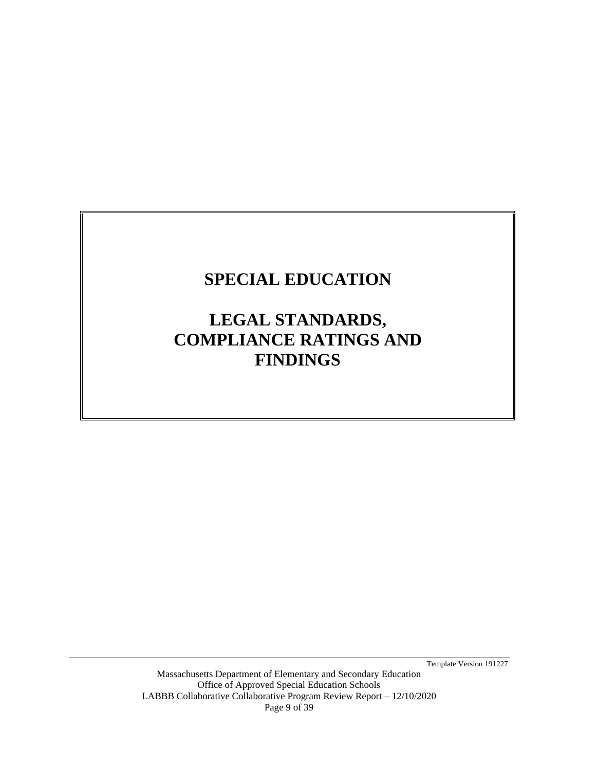# <span id="page-8-0"></span>**SPECIAL EDUCATION**

# **LEGAL STANDARDS, COMPLIANCE RATINGS AND FINDINGS**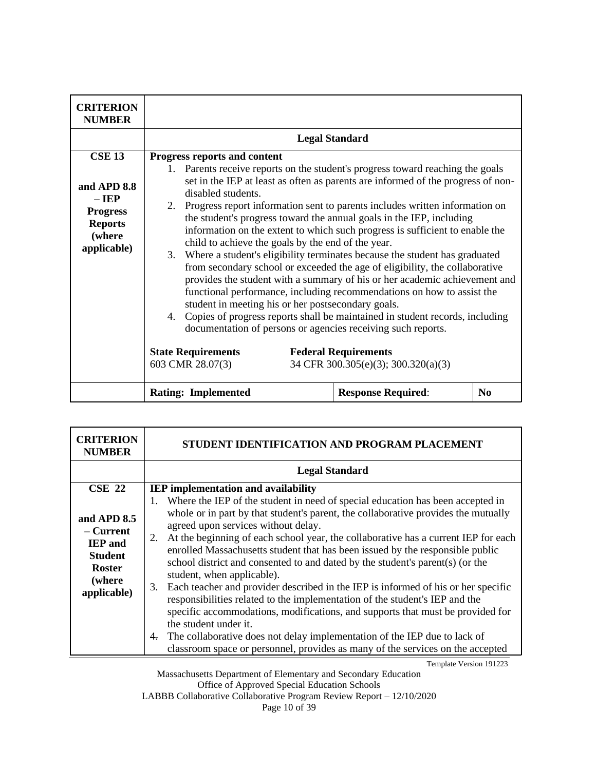| <b>CRITERION</b><br><b>NUMBER</b>                                                                     | <b>Legal Standard</b>                                                                                                                                                                                                                                                                                                                                                                                                                                                                                                                                                                                                                                                                                                                                                                                                                                                                                                                                                                                                                                                                                                                                        |  |  |  |
|-------------------------------------------------------------------------------------------------------|--------------------------------------------------------------------------------------------------------------------------------------------------------------------------------------------------------------------------------------------------------------------------------------------------------------------------------------------------------------------------------------------------------------------------------------------------------------------------------------------------------------------------------------------------------------------------------------------------------------------------------------------------------------------------------------------------------------------------------------------------------------------------------------------------------------------------------------------------------------------------------------------------------------------------------------------------------------------------------------------------------------------------------------------------------------------------------------------------------------------------------------------------------------|--|--|--|
|                                                                                                       | Progress reports and content                                                                                                                                                                                                                                                                                                                                                                                                                                                                                                                                                                                                                                                                                                                                                                                                                                                                                                                                                                                                                                                                                                                                 |  |  |  |
| <b>CSE 13</b><br>and APD 8.8<br>$-$ IEP<br><b>Progress</b><br><b>Reports</b><br>(where<br>applicable) | Parents receive reports on the student's progress toward reaching the goals<br>$1_{\cdot}$<br>set in the IEP at least as often as parents are informed of the progress of non-<br>disabled students.<br>2. Progress report information sent to parents includes written information on<br>the student's progress toward the annual goals in the IEP, including<br>information on the extent to which such progress is sufficient to enable the<br>child to achieve the goals by the end of the year.<br>3. Where a student's eligibility terminates because the student has graduated<br>from secondary school or exceeded the age of eligibility, the collaborative<br>provides the student with a summary of his or her academic achievement and<br>functional performance, including recommendations on how to assist the<br>student in meeting his or her postsecondary goals.<br>4. Copies of progress reports shall be maintained in student records, including<br>documentation of persons or agencies receiving such reports.<br><b>State Requirements</b><br><b>Federal Requirements</b><br>603 CMR 28.07(3)<br>34 CFR 300.305(e)(3); 300.320(a)(3) |  |  |  |
|                                                                                                       | <b>Response Required:</b><br>N <sub>0</sub><br><b>Rating: Implemented</b>                                                                                                                                                                                                                                                                                                                                                                                                                                                                                                                                                                                                                                                                                                                                                                                                                                                                                                                                                                                                                                                                                    |  |  |  |

| <b>CRITERION</b><br><b>NUMBER</b>                                                                                  | STUDENT IDENTIFICATION AND PROGRAM PLACEMENT                                                                                                                                                                                                                                                                                                                                                                                                                                                                                                                                                                                                                                                                                                                                                                                                                                                                                                                                                                                        |
|--------------------------------------------------------------------------------------------------------------------|-------------------------------------------------------------------------------------------------------------------------------------------------------------------------------------------------------------------------------------------------------------------------------------------------------------------------------------------------------------------------------------------------------------------------------------------------------------------------------------------------------------------------------------------------------------------------------------------------------------------------------------------------------------------------------------------------------------------------------------------------------------------------------------------------------------------------------------------------------------------------------------------------------------------------------------------------------------------------------------------------------------------------------------|
|                                                                                                                    | <b>Legal Standard</b>                                                                                                                                                                                                                                                                                                                                                                                                                                                                                                                                                                                                                                                                                                                                                                                                                                                                                                                                                                                                               |
| $CSE$ 22<br>and APD 8.5<br>– Current<br><b>IEP</b> and<br><b>Student</b><br><b>Roster</b><br>(where<br>applicable) | <b>IEP</b> implementation and availability<br>Where the IEP of the student in need of special education has been accepted in<br>1.<br>whole or in part by that student's parent, the collaborative provides the mutually<br>agreed upon services without delay.<br>At the beginning of each school year, the collaborative has a current IEP for each<br>2.<br>enrolled Massachusetts student that has been issued by the responsible public<br>school district and consented to and dated by the student's parent(s) (or the<br>student, when applicable).<br>Each teacher and provider described in the IEP is informed of his or her specific<br>3.<br>responsibilities related to the implementation of the student's IEP and the<br>specific accommodations, modifications, and supports that must be provided for<br>the student under it.<br>The collaborative does not delay implementation of the IEP due to lack of<br>$\overline{4}$ .<br>classroom space or personnel, provides as many of the services on the accepted |
|                                                                                                                    | Template Version 191223                                                                                                                                                                                                                                                                                                                                                                                                                                                                                                                                                                                                                                                                                                                                                                                                                                                                                                                                                                                                             |

Massachusetts Department of Elementary and Secondary Education Office of Approved Special Education Schools LABBB Collaborative Collaborative Program Review Report – 12/10/2020

Page 10 of 39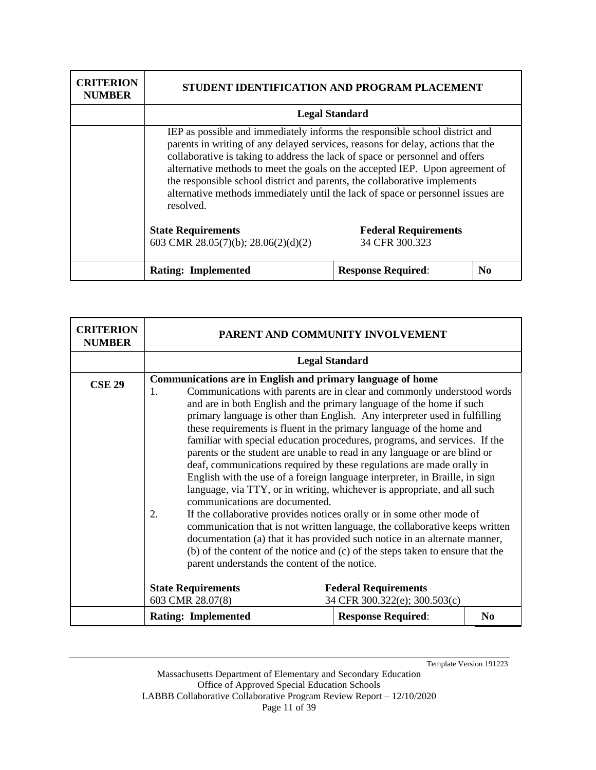| <b>CRITERION</b><br><b>NUMBER</b> | STUDENT IDENTIFICATION AND PROGRAM PLACEMENT                                                                                                                                                                                                                                                                                                                                                                                                                                                                |                           |                |
|-----------------------------------|-------------------------------------------------------------------------------------------------------------------------------------------------------------------------------------------------------------------------------------------------------------------------------------------------------------------------------------------------------------------------------------------------------------------------------------------------------------------------------------------------------------|---------------------------|----------------|
|                                   | <b>Legal Standard</b>                                                                                                                                                                                                                                                                                                                                                                                                                                                                                       |                           |                |
|                                   | IEP as possible and immediately informs the responsible school district and<br>parents in writing of any delayed services, reasons for delay, actions that the<br>collaborative is taking to address the lack of space or personnel and offers<br>alternative methods to meet the goals on the accepted IEP. Upon agreement of<br>the responsible school district and parents, the collaborative implements<br>alternative methods immediately until the lack of space or personnel issues are<br>resolved. |                           |                |
|                                   | <b>State Requirements</b><br><b>Federal Requirements</b><br>603 CMR 28.05(7)(b); 28.06(2)(d)(2)<br>34 CFR 300.323                                                                                                                                                                                                                                                                                                                                                                                           |                           |                |
|                                   | <b>Rating: Implemented</b>                                                                                                                                                                                                                                                                                                                                                                                                                                                                                  | <b>Response Required:</b> | N <sub>0</sub> |

| <b>CRITERION</b><br><b>NUMBER</b> | PARENT AND COMMUNITY INVOLVEMENT                                                                                                                                                                                                                                                                                                                                                                                                                                                                                                                                                                                                                                                                                                                                                                                                                                                                                                                                                                                                                                                                                                                                                                |                                                              |                |  |
|-----------------------------------|-------------------------------------------------------------------------------------------------------------------------------------------------------------------------------------------------------------------------------------------------------------------------------------------------------------------------------------------------------------------------------------------------------------------------------------------------------------------------------------------------------------------------------------------------------------------------------------------------------------------------------------------------------------------------------------------------------------------------------------------------------------------------------------------------------------------------------------------------------------------------------------------------------------------------------------------------------------------------------------------------------------------------------------------------------------------------------------------------------------------------------------------------------------------------------------------------|--------------------------------------------------------------|----------------|--|
|                                   |                                                                                                                                                                                                                                                                                                                                                                                                                                                                                                                                                                                                                                                                                                                                                                                                                                                                                                                                                                                                                                                                                                                                                                                                 | <b>Legal Standard</b>                                        |                |  |
| <b>CSE 29</b>                     | <b>Communications are in English and primary language of home</b><br>Communications with parents are in clear and commonly understood words<br>1.<br>and are in both English and the primary language of the home if such<br>primary language is other than English. Any interpreter used in fulfilling<br>these requirements is fluent in the primary language of the home and<br>familiar with special education procedures, programs, and services. If the<br>parents or the student are unable to read in any language or are blind or<br>deaf, communications required by these regulations are made orally in<br>English with the use of a foreign language interpreter, in Braille, in sign<br>language, via TTY, or in writing, whichever is appropriate, and all such<br>communications are documented.<br>If the collaborative provides notices orally or in some other mode of<br>2.<br>communication that is not written language, the collaborative keeps written<br>documentation (a) that it has provided such notice in an alternate manner,<br>(b) of the content of the notice and (c) of the steps taken to ensure that the<br>parent understands the content of the notice. |                                                              |                |  |
|                                   | <b>State Requirements</b><br>603 CMR 28.07(8)                                                                                                                                                                                                                                                                                                                                                                                                                                                                                                                                                                                                                                                                                                                                                                                                                                                                                                                                                                                                                                                                                                                                                   | <b>Federal Requirements</b><br>34 CFR 300.322(e); 300.503(c) |                |  |
|                                   | <b>Rating: Implemented</b>                                                                                                                                                                                                                                                                                                                                                                                                                                                                                                                                                                                                                                                                                                                                                                                                                                                                                                                                                                                                                                                                                                                                                                      | <b>Response Required:</b>                                    | N <sub>0</sub> |  |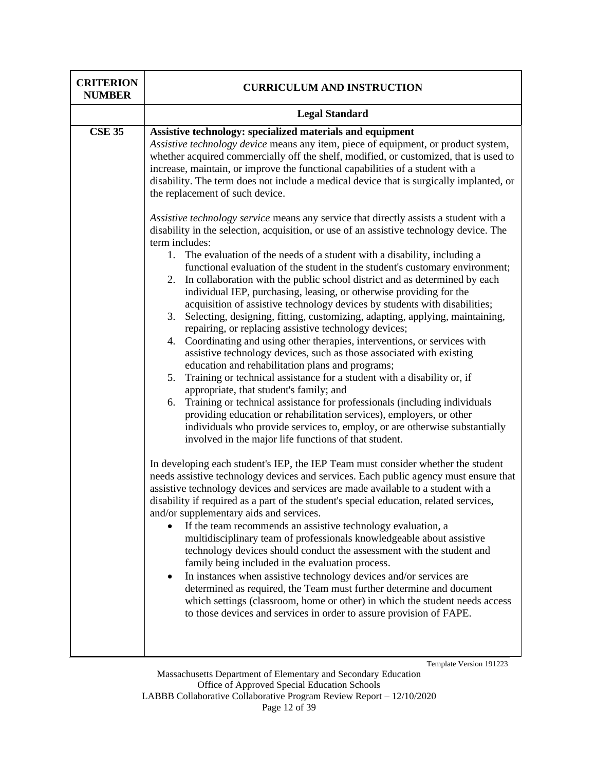| <b>CRITERION</b><br><b>NUMBER</b> | <b>CURRICULUM AND INSTRUCTION</b>                                                                                                                                                                                                                                                                                                                                                                                                                                                                                                                                                                                                                                                                                                                                                                                                                                                                                                                                                                                                                                                                                                                                                                                                                                                                                                                                                                                                                                                                                                                                                                                                                                                                                                                                                                                                                                   |  |
|-----------------------------------|---------------------------------------------------------------------------------------------------------------------------------------------------------------------------------------------------------------------------------------------------------------------------------------------------------------------------------------------------------------------------------------------------------------------------------------------------------------------------------------------------------------------------------------------------------------------------------------------------------------------------------------------------------------------------------------------------------------------------------------------------------------------------------------------------------------------------------------------------------------------------------------------------------------------------------------------------------------------------------------------------------------------------------------------------------------------------------------------------------------------------------------------------------------------------------------------------------------------------------------------------------------------------------------------------------------------------------------------------------------------------------------------------------------------------------------------------------------------------------------------------------------------------------------------------------------------------------------------------------------------------------------------------------------------------------------------------------------------------------------------------------------------------------------------------------------------------------------------------------------------|--|
|                                   | <b>Legal Standard</b>                                                                                                                                                                                                                                                                                                                                                                                                                                                                                                                                                                                                                                                                                                                                                                                                                                                                                                                                                                                                                                                                                                                                                                                                                                                                                                                                                                                                                                                                                                                                                                                                                                                                                                                                                                                                                                               |  |
| <b>CSE 35</b>                     | Assistive technology: specialized materials and equipment<br>Assistive technology device means any item, piece of equipment, or product system,<br>whether acquired commercially off the shelf, modified, or customized, that is used to<br>increase, maintain, or improve the functional capabilities of a student with a<br>disability. The term does not include a medical device that is surgically implanted, or<br>the replacement of such device.<br>Assistive technology service means any service that directly assists a student with a<br>disability in the selection, acquisition, or use of an assistive technology device. The<br>term includes:<br>The evaluation of the needs of a student with a disability, including a<br>1.<br>functional evaluation of the student in the student's customary environment;<br>In collaboration with the public school district and as determined by each<br>2.<br>individual IEP, purchasing, leasing, or otherwise providing for the<br>acquisition of assistive technology devices by students with disabilities;<br>Selecting, designing, fitting, customizing, adapting, applying, maintaining,<br>3.<br>repairing, or replacing assistive technology devices;<br>Coordinating and using other therapies, interventions, or services with<br>4.<br>assistive technology devices, such as those associated with existing<br>education and rehabilitation plans and programs;<br>Training or technical assistance for a student with a disability or, if<br>5.<br>appropriate, that student's family; and<br>Training or technical assistance for professionals (including individuals<br>6.<br>providing education or rehabilitation services), employers, or other<br>individuals who provide services to, employ, or are otherwise substantially<br>involved in the major life functions of that student. |  |
|                                   | In developing each student's IEP, the IEP Team must consider whether the student<br>needs assistive technology devices and services. Each public agency must ensure that<br>assistive technology devices and services are made available to a student with a<br>disability if required as a part of the student's special education, related services,<br>and/or supplementary aids and services.<br>If the team recommends an assistive technology evaluation, a<br>multidisciplinary team of professionals knowledgeable about assistive<br>technology devices should conduct the assessment with the student and<br>family being included in the evaluation process.<br>In instances when assistive technology devices and/or services are<br>determined as required, the Team must further determine and document<br>which settings (classroom, home or other) in which the student needs access<br>to those devices and services in order to assure provision of FAPE.<br>Template Version 191223                                                                                                                                                                                                                                                                                                                                                                                                                                                                                                                                                                                                                                                                                                                                                                                                                                                              |  |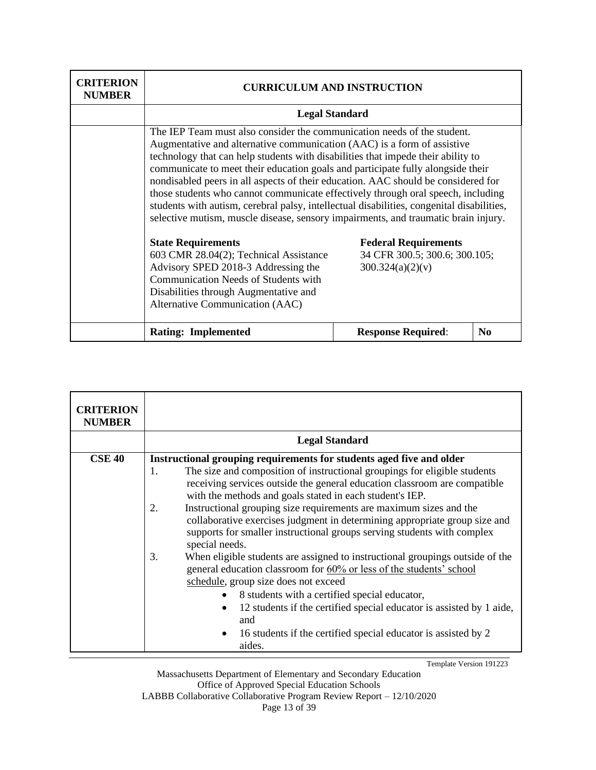| <b>CRITERION</b><br><b>NUMBER</b> | <b>CURRICULUM AND INSTRUCTION</b>                                                                                                                                                                                                                                                                                                                                                                                                                                                                                                                                                                                                                                                                                                                                                                                                                                                                                                                                                                           |                           |                |  |
|-----------------------------------|-------------------------------------------------------------------------------------------------------------------------------------------------------------------------------------------------------------------------------------------------------------------------------------------------------------------------------------------------------------------------------------------------------------------------------------------------------------------------------------------------------------------------------------------------------------------------------------------------------------------------------------------------------------------------------------------------------------------------------------------------------------------------------------------------------------------------------------------------------------------------------------------------------------------------------------------------------------------------------------------------------------|---------------------------|----------------|--|
|                                   | <b>Legal Standard</b>                                                                                                                                                                                                                                                                                                                                                                                                                                                                                                                                                                                                                                                                                                                                                                                                                                                                                                                                                                                       |                           |                |  |
|                                   | The IEP Team must also consider the communication needs of the student.<br>Augmentative and alternative communication (AAC) is a form of assistive<br>technology that can help students with disabilities that impede their ability to<br>communicate to meet their education goals and participate fully alongside their<br>nondisabled peers in all aspects of their education. AAC should be considered for<br>those students who cannot communicate effectively through oral speech, including<br>students with autism, cerebral palsy, intellectual disabilities, congenital disabilities,<br>selective mutism, muscle disease, sensory impairments, and traumatic brain injury.<br><b>State Requirements</b><br><b>Federal Requirements</b><br>34 CFR 300.5; 300.6; 300.105;<br>603 CMR 28.04(2); Technical Assistance<br>Advisory SPED 2018-3 Addressing the<br>300.324(a)(2)(v)<br>Communication Needs of Students with<br>Disabilities through Augmentative and<br>Alternative Communication (AAC) |                           |                |  |
|                                   | <b>Rating: Implemented</b>                                                                                                                                                                                                                                                                                                                                                                                                                                                                                                                                                                                                                                                                                                                                                                                                                                                                                                                                                                                  | <b>Response Required:</b> | N <sub>0</sub> |  |

| <b>CRITERION</b><br><b>NUMBER</b> |                                                                                                                                                                                                                                                                                                                                                                                                                                                                                                                                                                                                                                                                                                                                                                                                                                                                                                                                                                           |  |  |
|-----------------------------------|---------------------------------------------------------------------------------------------------------------------------------------------------------------------------------------------------------------------------------------------------------------------------------------------------------------------------------------------------------------------------------------------------------------------------------------------------------------------------------------------------------------------------------------------------------------------------------------------------------------------------------------------------------------------------------------------------------------------------------------------------------------------------------------------------------------------------------------------------------------------------------------------------------------------------------------------------------------------------|--|--|
|                                   | <b>Legal Standard</b>                                                                                                                                                                                                                                                                                                                                                                                                                                                                                                                                                                                                                                                                                                                                                                                                                                                                                                                                                     |  |  |
| <b>CSE 40</b>                     | Instructional grouping requirements for students aged five and older<br>The size and composition of instructional groupings for eligible students<br>1.<br>receiving services outside the general education classroom are compatible<br>with the methods and goals stated in each student's IEP.<br>Instructional grouping size requirements are maximum sizes and the<br>2.<br>collaborative exercises judgment in determining appropriate group size and<br>supports for smaller instructional groups serving students with complex<br>special needs.<br>3.<br>When eligible students are assigned to instructional groupings outside of the<br>general education classroom for 60% or less of the students' school<br>schedule, group size does not exceed<br>8 students with a certified special educator,<br>12 students if the certified special educator is assisted by 1 aide,<br>and<br>16 students if the certified special educator is assisted by 2<br>aides. |  |  |

Massachusetts Department of Elementary and Secondary Education Office of Approved Special Education Schools LABBB Collaborative Collaborative Program Review Report – 12/10/2020 Page 13 of 39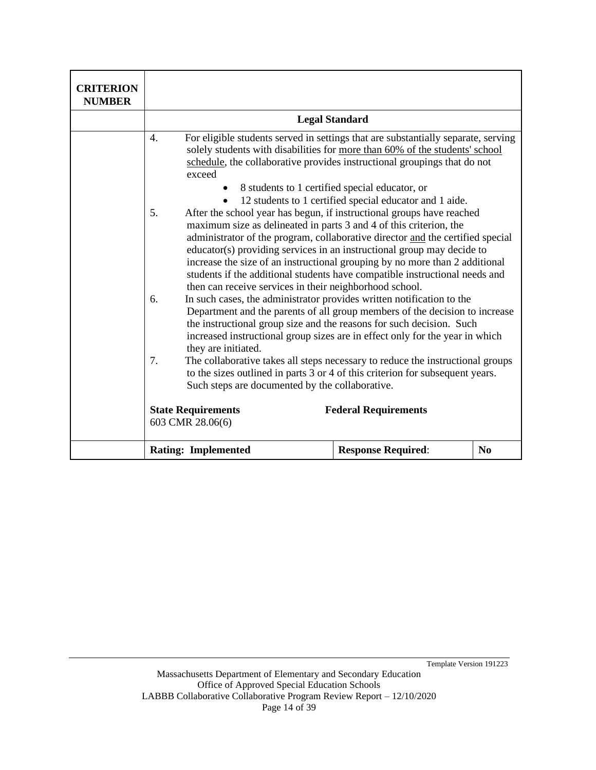| <b>CRITERION</b><br><b>NUMBER</b> |                                                                                                                                                                                                                                                                                                                                                                                                                                                                                                                                                                                                   |                                                |          |
|-----------------------------------|---------------------------------------------------------------------------------------------------------------------------------------------------------------------------------------------------------------------------------------------------------------------------------------------------------------------------------------------------------------------------------------------------------------------------------------------------------------------------------------------------------------------------------------------------------------------------------------------------|------------------------------------------------|----------|
|                                   |                                                                                                                                                                                                                                                                                                                                                                                                                                                                                                                                                                                                   | <b>Legal Standard</b>                          |          |
|                                   | For eligible students served in settings that are substantially separate, serving<br>4.<br>solely students with disabilities for more than 60% of the students' school<br>schedule, the collaborative provides instructional groupings that do not<br>exceed                                                                                                                                                                                                                                                                                                                                      | 8 students to 1 certified special educator, or |          |
|                                   | 12 students to 1 certified special educator and 1 aide.<br>After the school year has begun, if instructional groups have reached<br>5.<br>maximum size as delineated in parts 3 and 4 of this criterion, the<br>administrator of the program, collaborative director and the certified special<br>educator(s) providing services in an instructional group may decide to<br>increase the size of an instructional grouping by no more than 2 additional<br>students if the additional students have compatible instructional needs and<br>then can receive services in their neighborhood school. |                                                |          |
|                                   | In such cases, the administrator provides written notification to the<br>6.<br>Department and the parents of all group members of the decision to increase<br>the instructional group size and the reasons for such decision. Such<br>increased instructional group sizes are in effect only for the year in which<br>they are initiated.                                                                                                                                                                                                                                                         |                                                |          |
|                                   | 7.<br>The collaborative takes all steps necessary to reduce the instructional groups<br>to the sizes outlined in parts 3 or 4 of this criterion for subsequent years.<br>Such steps are documented by the collaborative.                                                                                                                                                                                                                                                                                                                                                                          |                                                |          |
|                                   | <b>State Requirements</b><br>603 CMR 28.06(6)                                                                                                                                                                                                                                                                                                                                                                                                                                                                                                                                                     | <b>Federal Requirements</b>                    |          |
|                                   | <b>Rating: Implemented</b>                                                                                                                                                                                                                                                                                                                                                                                                                                                                                                                                                                        | <b>Response Required:</b>                      | $\bf No$ |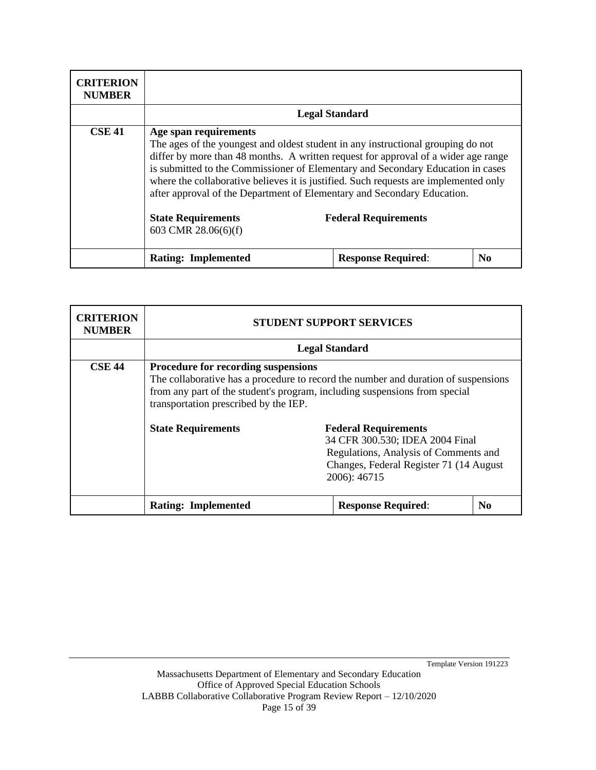| <b>CRITERION</b><br><b>NUMBER</b> |                                                                           |                                                                                                                                                                                                                                                                                                                                                                                                                                                             |                |  |
|-----------------------------------|---------------------------------------------------------------------------|-------------------------------------------------------------------------------------------------------------------------------------------------------------------------------------------------------------------------------------------------------------------------------------------------------------------------------------------------------------------------------------------------------------------------------------------------------------|----------------|--|
|                                   | <b>Legal Standard</b>                                                     |                                                                                                                                                                                                                                                                                                                                                                                                                                                             |                |  |
| <b>CSE 41</b>                     | Age span requirements<br><b>State Requirements</b><br>603 CMR 28.06(6)(f) | The ages of the youngest and oldest student in any instructional grouping do not<br>differ by more than 48 months. A written request for approval of a wider age range<br>is submitted to the Commissioner of Elementary and Secondary Education in cases<br>where the collaborative believes it is justified. Such requests are implemented only<br>after approval of the Department of Elementary and Secondary Education.<br><b>Federal Requirements</b> |                |  |
|                                   | <b>Rating: Implemented</b>                                                | <b>Response Required:</b>                                                                                                                                                                                                                                                                                                                                                                                                                                   | N <sub>0</sub> |  |

| <b>CRITERION</b><br><b>NUMBER</b> | <b>STUDENT SUPPORT SERVICES</b>                                                                                                                                                                                                                         |                                                                                                                                                                     |                |
|-----------------------------------|---------------------------------------------------------------------------------------------------------------------------------------------------------------------------------------------------------------------------------------------------------|---------------------------------------------------------------------------------------------------------------------------------------------------------------------|----------------|
|                                   | <b>Legal Standard</b>                                                                                                                                                                                                                                   |                                                                                                                                                                     |                |
| <b>CSE 44</b>                     | <b>Procedure for recording suspensions</b><br>The collaborative has a procedure to record the number and duration of suspensions<br>from any part of the student's program, including suspensions from special<br>transportation prescribed by the IEP. |                                                                                                                                                                     |                |
|                                   | <b>State Requirements</b>                                                                                                                                                                                                                               | <b>Federal Requirements</b><br>34 CFR 300.530; IDEA 2004 Final<br>Regulations, Analysis of Comments and<br>Changes, Federal Register 71 (14 August)<br>2006): 46715 |                |
|                                   | <b>Rating: Implemented</b>                                                                                                                                                                                                                              | <b>Response Required:</b>                                                                                                                                           | N <sub>0</sub> |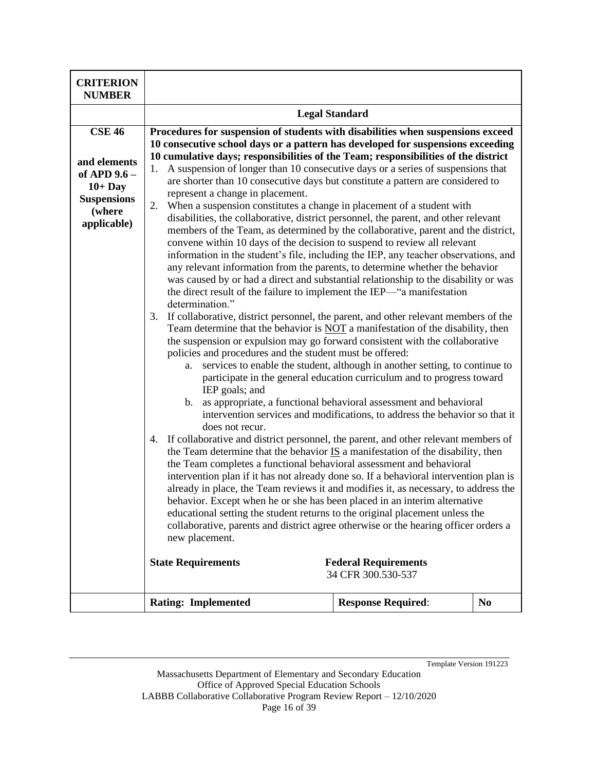| <b>CRITERION</b><br><b>NUMBER</b>                                                                         |                                                                                                                                                                                                                                                                                                                                                                                                                                                                                                                                                                                                                                                                                                                                                                                                                                                                                                                                                                                                                                                                                                                                                                                                                                                                                                                                                                                                                                                                                                                                                                                                                                                                                                                                                                                                                                                                                                                                                                                                  |                                                                                                                                                                                                                                                                                                           |    |
|-----------------------------------------------------------------------------------------------------------|--------------------------------------------------------------------------------------------------------------------------------------------------------------------------------------------------------------------------------------------------------------------------------------------------------------------------------------------------------------------------------------------------------------------------------------------------------------------------------------------------------------------------------------------------------------------------------------------------------------------------------------------------------------------------------------------------------------------------------------------------------------------------------------------------------------------------------------------------------------------------------------------------------------------------------------------------------------------------------------------------------------------------------------------------------------------------------------------------------------------------------------------------------------------------------------------------------------------------------------------------------------------------------------------------------------------------------------------------------------------------------------------------------------------------------------------------------------------------------------------------------------------------------------------------------------------------------------------------------------------------------------------------------------------------------------------------------------------------------------------------------------------------------------------------------------------------------------------------------------------------------------------------------------------------------------------------------------------------------------------------|-----------------------------------------------------------------------------------------------------------------------------------------------------------------------------------------------------------------------------------------------------------------------------------------------------------|----|
|                                                                                                           |                                                                                                                                                                                                                                                                                                                                                                                                                                                                                                                                                                                                                                                                                                                                                                                                                                                                                                                                                                                                                                                                                                                                                                                                                                                                                                                                                                                                                                                                                                                                                                                                                                                                                                                                                                                                                                                                                                                                                                                                  | <b>Legal Standard</b>                                                                                                                                                                                                                                                                                     |    |
| <b>CSE 46</b><br>and elements<br>of APD 9.6 -<br>$10+$ Day<br><b>Suspensions</b><br>(where<br>applicable) | Procedures for suspension of students with disabilities when suspensions exceed<br>10 consecutive school days or a pattern has developed for suspensions exceeding<br>10 cumulative days; responsibilities of the Team; responsibilities of the district<br>A suspension of longer than 10 consecutive days or a series of suspensions that<br>1.<br>are shorter than 10 consecutive days but constitute a pattern are considered to<br>represent a change in placement.<br>When a suspension constitutes a change in placement of a student with<br>2.<br>disabilities, the collaborative, district personnel, the parent, and other relevant<br>members of the Team, as determined by the collaborative, parent and the district,<br>convene within 10 days of the decision to suspend to review all relevant<br>information in the student's file, including the IEP, any teacher observations, and<br>any relevant information from the parents, to determine whether the behavior<br>was caused by or had a direct and substantial relationship to the disability or was<br>the direct result of the failure to implement the IEP—"a manifestation<br>determination."<br>If collaborative, district personnel, the parent, and other relevant members of the<br>3.<br>Team determine that the behavior is NOT a manifestation of the disability, then<br>the suspension or expulsion may go forward consistent with the collaborative<br>policies and procedures and the student must be offered:<br>a.<br>IEP goals; and<br>b.<br>does not recur.<br>If collaborative and district personnel, the parent, and other relevant members of<br>4.<br>the Team determine that the behavior $IS$ a manifestation of the disability, then<br>the Team completes a functional behavioral assessment and behavioral<br>intervention plan if it has not already done so. If a behavioral intervention plan is<br>already in place, the Team reviews it and modifies it, as necessary, to address the | services to enable the student, although in another setting, to continue to<br>participate in the general education curriculum and to progress toward<br>as appropriate, a functional behavioral assessment and behavioral<br>intervention services and modifications, to address the behavior so that it |    |
|                                                                                                           | behavior. Except when he or she has been placed in an interim alternative<br>educational setting the student returns to the original placement unless the<br>collaborative, parents and district agree otherwise or the hearing officer orders a<br>new placement.<br><b>State Requirements</b>                                                                                                                                                                                                                                                                                                                                                                                                                                                                                                                                                                                                                                                                                                                                                                                                                                                                                                                                                                                                                                                                                                                                                                                                                                                                                                                                                                                                                                                                                                                                                                                                                                                                                                  | <b>Federal Requirements</b><br>34 CFR 300.530-537                                                                                                                                                                                                                                                         |    |
|                                                                                                           | <b>Rating: Implemented</b>                                                                                                                                                                                                                                                                                                                                                                                                                                                                                                                                                                                                                                                                                                                                                                                                                                                                                                                                                                                                                                                                                                                                                                                                                                                                                                                                                                                                                                                                                                                                                                                                                                                                                                                                                                                                                                                                                                                                                                       | <b>Response Required:</b>                                                                                                                                                                                                                                                                                 | No |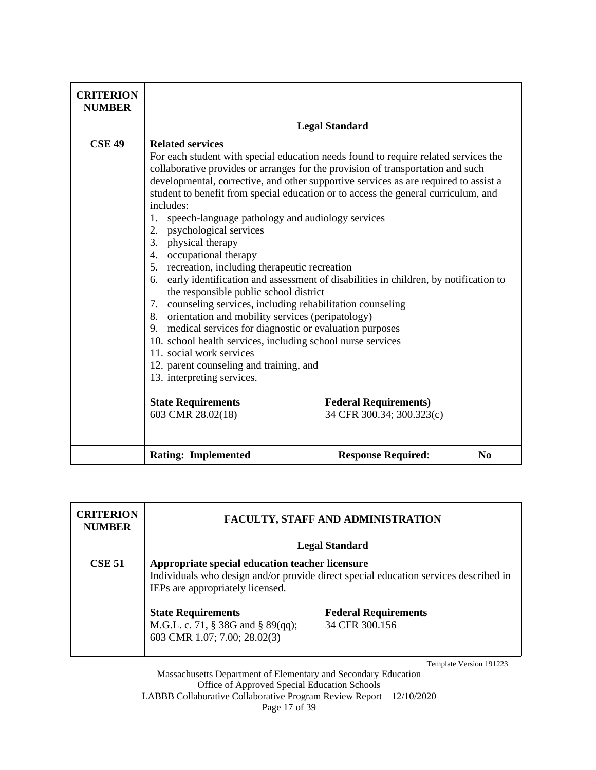| <b>CRITERION</b><br><b>NUMBER</b> |                                                                                                                                                                                                                                                                                                                                                                                                                                                                                                                                                                                                                                                                                                                                                                                                                                                                                                                                                                                                                                                                                                                                                               |                                                           |          |
|-----------------------------------|---------------------------------------------------------------------------------------------------------------------------------------------------------------------------------------------------------------------------------------------------------------------------------------------------------------------------------------------------------------------------------------------------------------------------------------------------------------------------------------------------------------------------------------------------------------------------------------------------------------------------------------------------------------------------------------------------------------------------------------------------------------------------------------------------------------------------------------------------------------------------------------------------------------------------------------------------------------------------------------------------------------------------------------------------------------------------------------------------------------------------------------------------------------|-----------------------------------------------------------|----------|
|                                   |                                                                                                                                                                                                                                                                                                                                                                                                                                                                                                                                                                                                                                                                                                                                                                                                                                                                                                                                                                                                                                                                                                                                                               | <b>Legal Standard</b>                                     |          |
| <b>CSE 49</b>                     | <b>Related services</b><br>For each student with special education needs found to require related services the<br>collaborative provides or arranges for the provision of transportation and such<br>developmental, corrective, and other supportive services as are required to assist a<br>student to benefit from special education or to access the general curriculum, and<br>includes:<br>speech-language pathology and audiology services<br>1.<br>psychological services<br>2.<br>physical therapy<br>3.<br>occupational therapy<br>4.<br>recreation, including therapeutic recreation<br>5.<br>early identification and assessment of disabilities in children, by notification to<br>6.<br>the responsible public school district<br>counseling services, including rehabilitation counseling<br>7.<br>orientation and mobility services (peripatology)<br>8.<br>medical services for diagnostic or evaluation purposes<br>9.<br>10. school health services, including school nurse services<br>11. social work services<br>12. parent counseling and training, and<br>13. interpreting services.<br><b>State Requirements</b><br>603 CMR 28.02(18) | <b>Federal Requirements)</b><br>34 CFR 300.34; 300.323(c) |          |
|                                   | <b>Rating: Implemented</b>                                                                                                                                                                                                                                                                                                                                                                                                                                                                                                                                                                                                                                                                                                                                                                                                                                                                                                                                                                                                                                                                                                                                    | <b>Response Required:</b>                                 | $\bf No$ |

| <b>CRITERION</b><br><b>NUMBER</b> |                                                                                                                                                                             | <b>FACULTY, STAFF AND ADMINISTRATION</b>      |
|-----------------------------------|-----------------------------------------------------------------------------------------------------------------------------------------------------------------------------|-----------------------------------------------|
|                                   |                                                                                                                                                                             | <b>Legal Standard</b>                         |
| <b>CSE 51</b>                     | Appropriate special education teacher licensure<br>Individuals who design and/or provide direct special education services described in<br>IEPs are appropriately licensed. |                                               |
|                                   | <b>State Requirements</b><br>M.G.L. c. 71, § 38G and § 89(qq);<br>603 CMR 1.07; 7.00; 28.02(3)                                                                              | <b>Federal Requirements</b><br>34 CFR 300.156 |

Massachusetts Department of Elementary and Secondary Education Office of Approved Special Education Schools LABBB Collaborative Collaborative Program Review Report – 12/10/2020 Page 17 of 39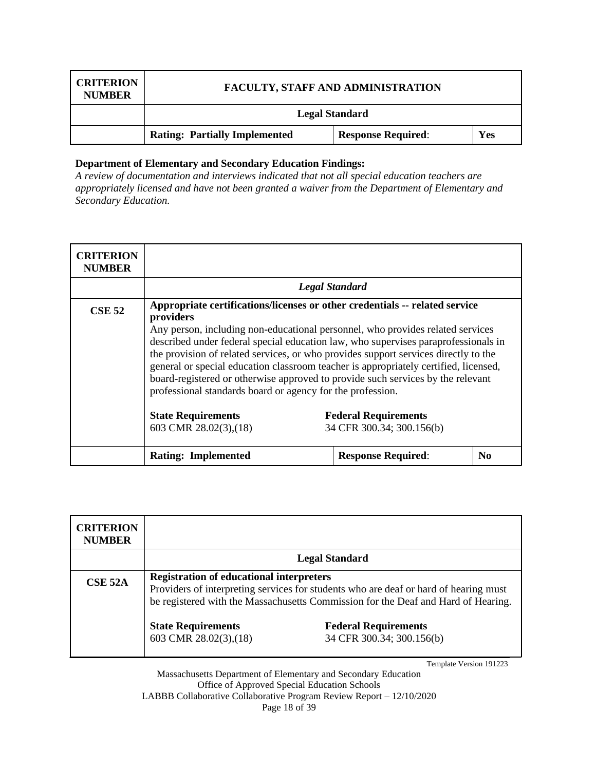| <b>CRITERION</b><br><b>NUMBER</b> | <b>FACULTY, STAFF AND ADMINISTRATION</b> |                           |     |
|-----------------------------------|------------------------------------------|---------------------------|-----|
|                                   |                                          | <b>Legal Standard</b>     |     |
|                                   | <b>Rating: Partially Implemented</b>     | <b>Response Required:</b> | Yes |

*A review of documentation and interviews indicated that not all special education teachers are appropriately licensed and have not been granted a waiver from the Department of Elementary and Secondary Education.*

| <b>CRITERION</b><br><b>NUMBER</b> |                                                                                                                                                                                                                                                                                                                                                                                                                                                                                                                                                                                                  |                                                          |                |
|-----------------------------------|--------------------------------------------------------------------------------------------------------------------------------------------------------------------------------------------------------------------------------------------------------------------------------------------------------------------------------------------------------------------------------------------------------------------------------------------------------------------------------------------------------------------------------------------------------------------------------------------------|----------------------------------------------------------|----------------|
|                                   |                                                                                                                                                                                                                                                                                                                                                                                                                                                                                                                                                                                                  | <b>Legal Standard</b>                                    |                |
| <b>CSE 52</b>                     | Appropriate certifications/licenses or other credentials -- related service<br>providers<br>Any person, including non-educational personnel, who provides related services<br>described under federal special education law, who supervises paraprofessionals in<br>the provision of related services, or who provides support services directly to the<br>general or special education classroom teacher is appropriately certified, licensed,<br>board-registered or otherwise approved to provide such services by the relevant<br>professional standards board or agency for the profession. |                                                          |                |
|                                   | <b>State Requirements</b><br>603 CMR 28.02(3), (18)                                                                                                                                                                                                                                                                                                                                                                                                                                                                                                                                              | <b>Federal Requirements</b><br>34 CFR 300.34; 300.156(b) |                |
|                                   | <b>Rating: Implemented</b>                                                                                                                                                                                                                                                                                                                                                                                                                                                                                                                                                                       | <b>Response Required:</b>                                | N <sub>0</sub> |

| <b>CRITERION</b><br><b>NUMBER</b> |                                                                                                                                                                                                                              |                                                          |
|-----------------------------------|------------------------------------------------------------------------------------------------------------------------------------------------------------------------------------------------------------------------------|----------------------------------------------------------|
|                                   |                                                                                                                                                                                                                              | <b>Legal Standard</b>                                    |
| CSE 52A                           | <b>Registration of educational interpreters</b><br>Providers of interpreting services for students who are deaf or hard of hearing must<br>be registered with the Massachusetts Commission for the Deaf and Hard of Hearing. |                                                          |
|                                   | <b>State Requirements</b><br>603 CMR 28.02(3), (18)                                                                                                                                                                          | <b>Federal Requirements</b><br>34 CFR 300.34; 300.156(b) |

Template Version 191223

Massachusetts Department of Elementary and Secondary Education Office of Approved Special Education Schools LABBB Collaborative Collaborative Program Review Report – 12/10/2020 Page 18 of 39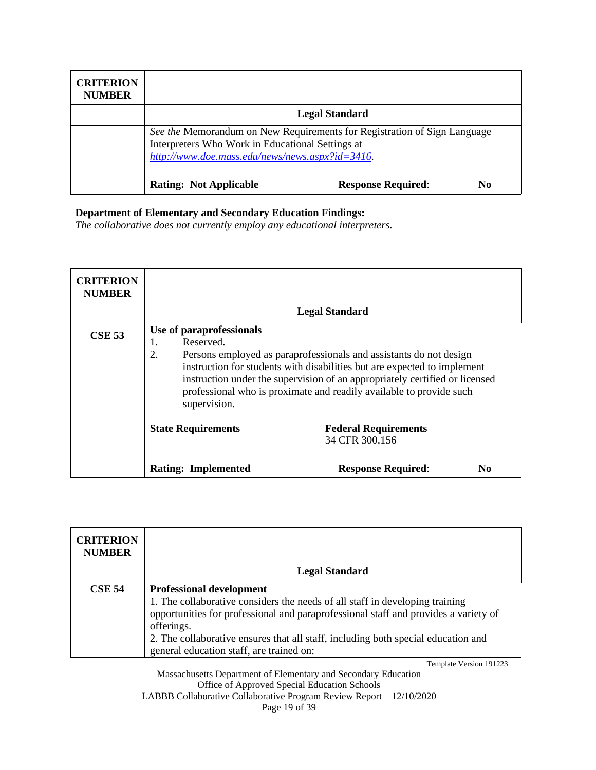| <b>CRITERION</b><br><b>NUMBER</b> |                                                                                                                                                                                 |                           |                |
|-----------------------------------|---------------------------------------------------------------------------------------------------------------------------------------------------------------------------------|---------------------------|----------------|
|                                   |                                                                                                                                                                                 | <b>Legal Standard</b>     |                |
|                                   | See the Memorandum on New Requirements for Registration of Sign Language<br>Interpreters Who Work in Educational Settings at<br>http://www.doe.mass.edu/news/news.aspx?id=3416. |                           |                |
|                                   | <b>Rating: Not Applicable</b>                                                                                                                                                   | <b>Response Required:</b> | N <sub>0</sub> |

*The collaborative does not currently employ any educational interpreters.*

| <b>CRITERION</b><br><b>NUMBER</b> |                                                                                                                                                                                                                                                                                                                                                                           |                                               |                |
|-----------------------------------|---------------------------------------------------------------------------------------------------------------------------------------------------------------------------------------------------------------------------------------------------------------------------------------------------------------------------------------------------------------------------|-----------------------------------------------|----------------|
|                                   |                                                                                                                                                                                                                                                                                                                                                                           | <b>Legal Standard</b>                         |                |
| <b>CSE 53</b>                     | Use of paraprofessionals<br>Reserved.<br>1.<br>2.<br>Persons employed as paraprofessionals and assistants do not design<br>instruction for students with disabilities but are expected to implement<br>instruction under the supervision of an appropriately certified or licensed<br>professional who is proximate and readily available to provide such<br>supervision. |                                               |                |
|                                   | <b>State Requirements</b>                                                                                                                                                                                                                                                                                                                                                 | <b>Federal Requirements</b><br>34 CFR 300.156 |                |
|                                   | <b>Rating: Implemented</b>                                                                                                                                                                                                                                                                                                                                                | <b>Response Required:</b>                     | N <sub>0</sub> |

| <b>CRITERION</b><br><b>NUMBER</b> |                                                                                                                                                                                                                                                                                                                                                       |
|-----------------------------------|-------------------------------------------------------------------------------------------------------------------------------------------------------------------------------------------------------------------------------------------------------------------------------------------------------------------------------------------------------|
|                                   | <b>Legal Standard</b>                                                                                                                                                                                                                                                                                                                                 |
| <b>CSE 54</b>                     | <b>Professional development</b><br>1. The collaborative considers the needs of all staff in developing training<br>opportunities for professional and paraprofessional staff and provides a variety of<br>offerings.<br>2. The collaborative ensures that all staff, including both special education and<br>general education staff, are trained on: |

Template Version 191223

Massachusetts Department of Elementary and Secondary Education Office of Approved Special Education Schools LABBB Collaborative Collaborative Program Review Report – 12/10/2020 Page 19 of 39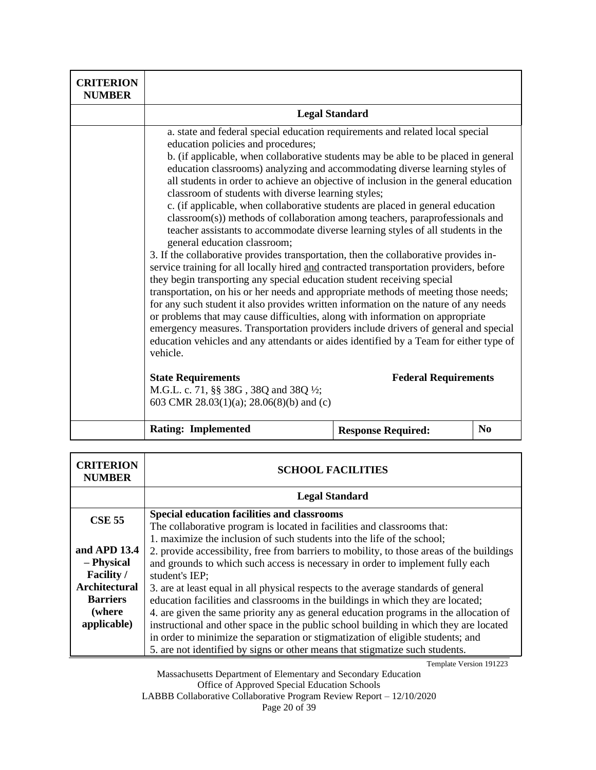| <b>CRITERION</b><br><b>NUMBER</b> |                                                                                                                                                                                                                                                                                                                                                                                                                                                                                                                                                                                                                                                                                                                                                                                                                                                                                                                                                                                                                                                                                                                                                                                                                                                                                                                                                                                                                                                                                                                                                                           |                             |                |
|-----------------------------------|---------------------------------------------------------------------------------------------------------------------------------------------------------------------------------------------------------------------------------------------------------------------------------------------------------------------------------------------------------------------------------------------------------------------------------------------------------------------------------------------------------------------------------------------------------------------------------------------------------------------------------------------------------------------------------------------------------------------------------------------------------------------------------------------------------------------------------------------------------------------------------------------------------------------------------------------------------------------------------------------------------------------------------------------------------------------------------------------------------------------------------------------------------------------------------------------------------------------------------------------------------------------------------------------------------------------------------------------------------------------------------------------------------------------------------------------------------------------------------------------------------------------------------------------------------------------------|-----------------------------|----------------|
|                                   | <b>Legal Standard</b>                                                                                                                                                                                                                                                                                                                                                                                                                                                                                                                                                                                                                                                                                                                                                                                                                                                                                                                                                                                                                                                                                                                                                                                                                                                                                                                                                                                                                                                                                                                                                     |                             |                |
|                                   | a. state and federal special education requirements and related local special<br>education policies and procedures;<br>b. (if applicable, when collaborative students may be able to be placed in general<br>education classrooms) analyzing and accommodating diverse learning styles of<br>all students in order to achieve an objective of inclusion in the general education<br>classroom of students with diverse learning styles;<br>c. (if applicable, when collaborative students are placed in general education<br>classroom(s)) methods of collaboration among teachers, paraprofessionals and<br>teacher assistants to accommodate diverse learning styles of all students in the<br>general education classroom;<br>3. If the collaborative provides transportation, then the collaborative provides in-<br>service training for all locally hired and contracted transportation providers, before<br>they begin transporting any special education student receiving special<br>transportation, on his or her needs and appropriate methods of meeting those needs;<br>for any such student it also provides written information on the nature of any needs<br>or problems that may cause difficulties, along with information on appropriate<br>emergency measures. Transportation providers include drivers of general and special<br>education vehicles and any attendants or aides identified by a Team for either type of<br>vehicle.<br><b>State Requirements</b><br>M.G.L. c. 71, §§ 38G, 38Q and 38Q ½;<br>603 CMR 28.03(1)(a); 28.06(8)(b) and (c) | <b>Federal Requirements</b> |                |
|                                   |                                                                                                                                                                                                                                                                                                                                                                                                                                                                                                                                                                                                                                                                                                                                                                                                                                                                                                                                                                                                                                                                                                                                                                                                                                                                                                                                                                                                                                                                                                                                                                           |                             |                |
|                                   | <b>Rating: Implemented</b>                                                                                                                                                                                                                                                                                                                                                                                                                                                                                                                                                                                                                                                                                                                                                                                                                                                                                                                                                                                                                                                                                                                                                                                                                                                                                                                                                                                                                                                                                                                                                | <b>Response Required:</b>   | N <sub>0</sub> |

| <b>CRITERION</b><br><b>NUMBER</b> | <b>SCHOOL FACILITIES</b>                                                                  |  |
|-----------------------------------|-------------------------------------------------------------------------------------------|--|
|                                   | <b>Legal Standard</b>                                                                     |  |
| <b>CSE 55</b>                     | <b>Special education facilities and classrooms</b>                                        |  |
|                                   | The collaborative program is located in facilities and classrooms that:                   |  |
|                                   | 1. maximize the inclusion of such students into the life of the school;                   |  |
| and APD 13.4                      | 2. provide accessibility, free from barriers to mobility, to those areas of the buildings |  |
| – Physical                        | and grounds to which such access is necessary in order to implement fully each            |  |
| <b>Facility</b> /                 | student's IEP;                                                                            |  |
| <b>Architectural</b>              | 3. are at least equal in all physical respects to the average standards of general        |  |
| <b>Barriers</b>                   | education facilities and classrooms in the buildings in which they are located;           |  |
| (where)                           | 4. are given the same priority any as general education programs in the allocation of     |  |
| applicable)                       | instructional and other space in the public school building in which they are located     |  |
|                                   | in order to minimize the separation or stigmatization of eligible students; and           |  |
|                                   | 5. are not identified by signs or other means that stigmatize such students.              |  |

Massachusetts Department of Elementary and Secondary Education Office of Approved Special Education Schools LABBB Collaborative Collaborative Program Review Report – 12/10/2020 Page 20 of 39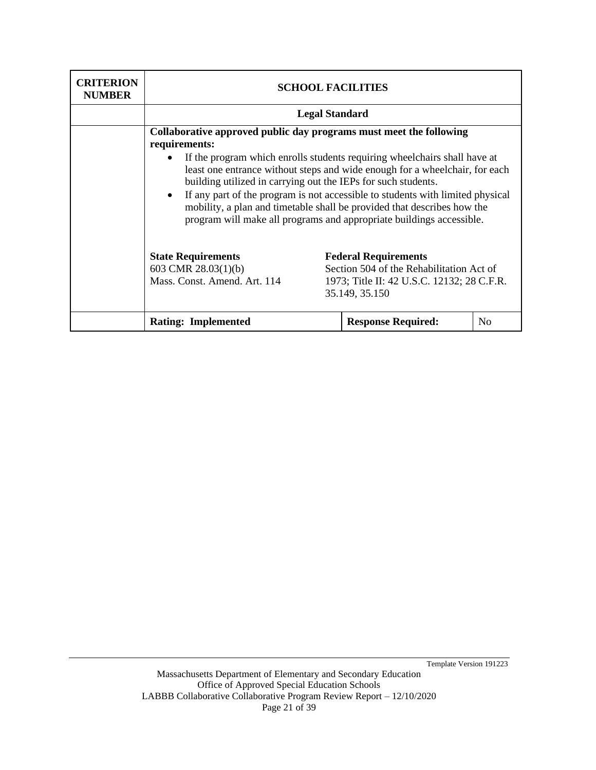| <b>CRITERION</b><br><b>NUMBER</b> | <b>SCHOOL FACILITIES</b>                                                                                                                                                                                                                                                                                                                                                                                                                                                                                                                                           |                                                                                                                                         |                |
|-----------------------------------|--------------------------------------------------------------------------------------------------------------------------------------------------------------------------------------------------------------------------------------------------------------------------------------------------------------------------------------------------------------------------------------------------------------------------------------------------------------------------------------------------------------------------------------------------------------------|-----------------------------------------------------------------------------------------------------------------------------------------|----------------|
|                                   | <b>Legal Standard</b>                                                                                                                                                                                                                                                                                                                                                                                                                                                                                                                                              |                                                                                                                                         |                |
|                                   | Collaborative approved public day programs must meet the following<br>requirements:<br>If the program which enrolls students requiring wheelchairs shall have at<br>least one entrance without steps and wide enough for a wheelchair, for each<br>building utilized in carrying out the IEPs for such students.<br>If any part of the program is not accessible to students with limited physical<br>$\bullet$<br>mobility, a plan and timetable shall be provided that describes how the<br>program will make all programs and appropriate buildings accessible. |                                                                                                                                         |                |
|                                   | <b>State Requirements</b><br>603 CMR $28.03(1)(b)$<br>Mass. Const. Amend. Art. 114                                                                                                                                                                                                                                                                                                                                                                                                                                                                                 | <b>Federal Requirements</b><br>Section 504 of the Rehabilitation Act of<br>1973; Title II: 42 U.S.C. 12132; 28 C.F.R.<br>35.149, 35.150 |                |
|                                   | <b>Rating: Implemented</b>                                                                                                                                                                                                                                                                                                                                                                                                                                                                                                                                         | <b>Response Required:</b>                                                                                                               | N <sub>0</sub> |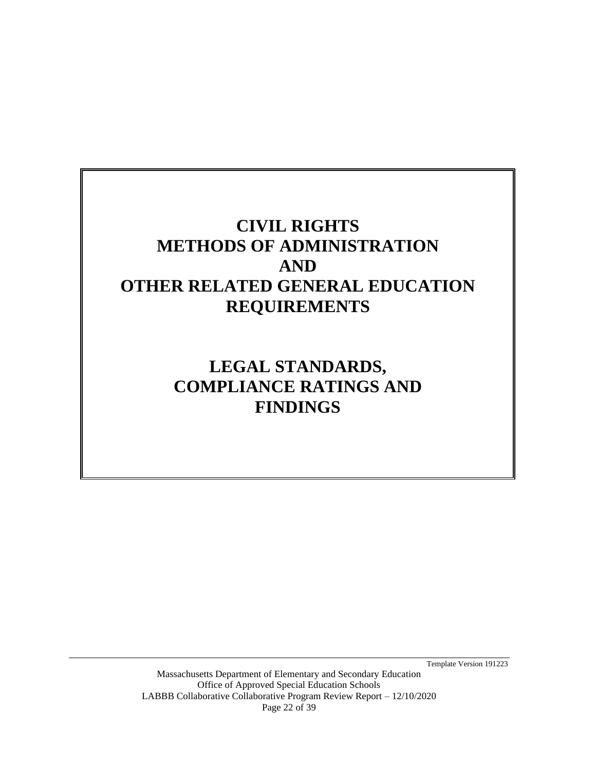# **CIVIL RIGHTS METHODS OF ADMINISTRATION AND OTHER RELATED GENERAL EDUCATION REQUIREMENTS**

<span id="page-21-0"></span>**LEGAL STANDARDS, COMPLIANCE RATINGS AND FINDINGS**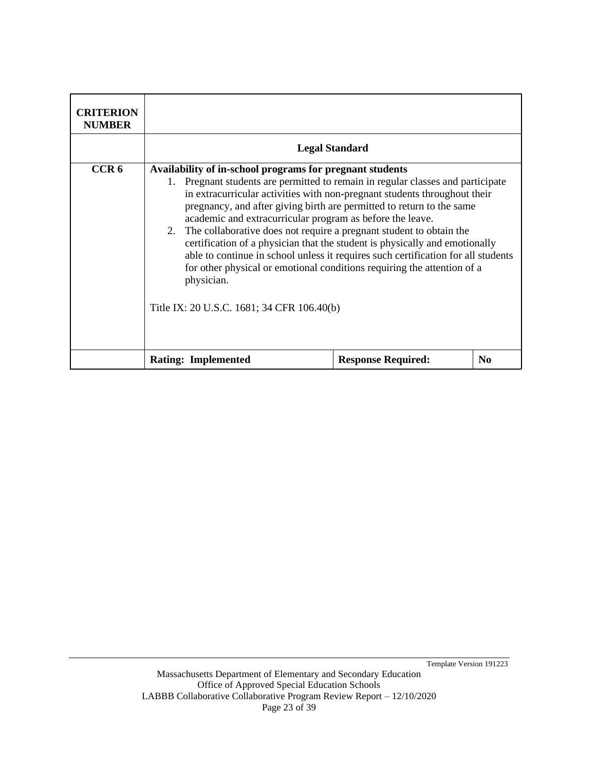| <b>CRITERION</b><br><b>NUMBER</b> |                                                                                                                                                                                                                                                                                                                                                                                                                                                                                                                                                                                                                                                                                                                                                                 |                           |                |
|-----------------------------------|-----------------------------------------------------------------------------------------------------------------------------------------------------------------------------------------------------------------------------------------------------------------------------------------------------------------------------------------------------------------------------------------------------------------------------------------------------------------------------------------------------------------------------------------------------------------------------------------------------------------------------------------------------------------------------------------------------------------------------------------------------------------|---------------------------|----------------|
|                                   | <b>Legal Standard</b>                                                                                                                                                                                                                                                                                                                                                                                                                                                                                                                                                                                                                                                                                                                                           |                           |                |
| CCR <sub>6</sub>                  | Availability of in-school programs for pregnant students<br>Pregnant students are permitted to remain in regular classes and participate<br>$1_{\cdot}$<br>in extracurricular activities with non-pregnant students throughout their<br>pregnancy, and after giving birth are permitted to return to the same<br>academic and extracurricular program as before the leave.<br>2. The collaborative does not require a pregnant student to obtain the<br>certification of a physician that the student is physically and emotionally<br>able to continue in school unless it requires such certification for all students<br>for other physical or emotional conditions requiring the attention of a<br>physician.<br>Title IX: 20 U.S.C. 1681; 34 CFR 106.40(b) |                           |                |
|                                   | <b>Rating: Implemented</b>                                                                                                                                                                                                                                                                                                                                                                                                                                                                                                                                                                                                                                                                                                                                      | <b>Response Required:</b> | N <sub>0</sub> |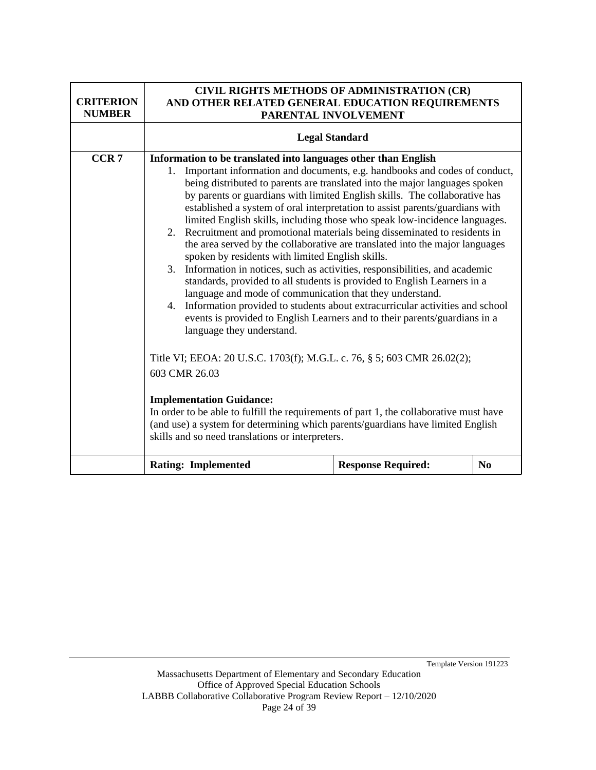| <b>CRITERION</b><br><b>NUMBER</b> | CIVIL RIGHTS METHODS OF ADMINISTRATION (CR)<br>AND OTHER RELATED GENERAL EDUCATION REQUIREMENTS<br>PARENTAL INVOLVEMENT                                                                                                                                                                                                                                                                                                                                                                                                                                                                                                                                                                                                                                                                                                                                                                                                                                                                                                                                                                                                                                                                                                                                                                                                                                                                                                                                                                |                           |          |
|-----------------------------------|----------------------------------------------------------------------------------------------------------------------------------------------------------------------------------------------------------------------------------------------------------------------------------------------------------------------------------------------------------------------------------------------------------------------------------------------------------------------------------------------------------------------------------------------------------------------------------------------------------------------------------------------------------------------------------------------------------------------------------------------------------------------------------------------------------------------------------------------------------------------------------------------------------------------------------------------------------------------------------------------------------------------------------------------------------------------------------------------------------------------------------------------------------------------------------------------------------------------------------------------------------------------------------------------------------------------------------------------------------------------------------------------------------------------------------------------------------------------------------------|---------------------------|----------|
|                                   | <b>Legal Standard</b>                                                                                                                                                                                                                                                                                                                                                                                                                                                                                                                                                                                                                                                                                                                                                                                                                                                                                                                                                                                                                                                                                                                                                                                                                                                                                                                                                                                                                                                                  |                           |          |
| CCR <sub>7</sub>                  | Information to be translated into languages other than English<br>Important information and documents, e.g. handbooks and codes of conduct,<br>1.<br>being distributed to parents are translated into the major languages spoken<br>by parents or guardians with limited English skills. The collaborative has<br>established a system of oral interpretation to assist parents/guardians with<br>limited English skills, including those who speak low-incidence languages.<br>2. Recruitment and promotional materials being disseminated to residents in<br>the area served by the collaborative are translated into the major languages<br>spoken by residents with limited English skills.<br>3. Information in notices, such as activities, responsibilities, and academic<br>standards, provided to all students is provided to English Learners in a<br>language and mode of communication that they understand.<br>4. Information provided to students about extracurricular activities and school<br>events is provided to English Learners and to their parents/guardians in a<br>language they understand.<br>Title VI; EEOA: 20 U.S.C. 1703(f); M.G.L. c. 76, § 5; 603 CMR 26.02(2);<br>603 CMR 26.03<br><b>Implementation Guidance:</b><br>In order to be able to fulfill the requirements of part 1, the collaborative must have<br>(and use) a system for determining which parents/guardians have limited English<br>skills and so need translations or interpreters. |                           |          |
|                                   | <b>Rating: Implemented</b>                                                                                                                                                                                                                                                                                                                                                                                                                                                                                                                                                                                                                                                                                                                                                                                                                                                                                                                                                                                                                                                                                                                                                                                                                                                                                                                                                                                                                                                             | <b>Response Required:</b> | $\bf No$ |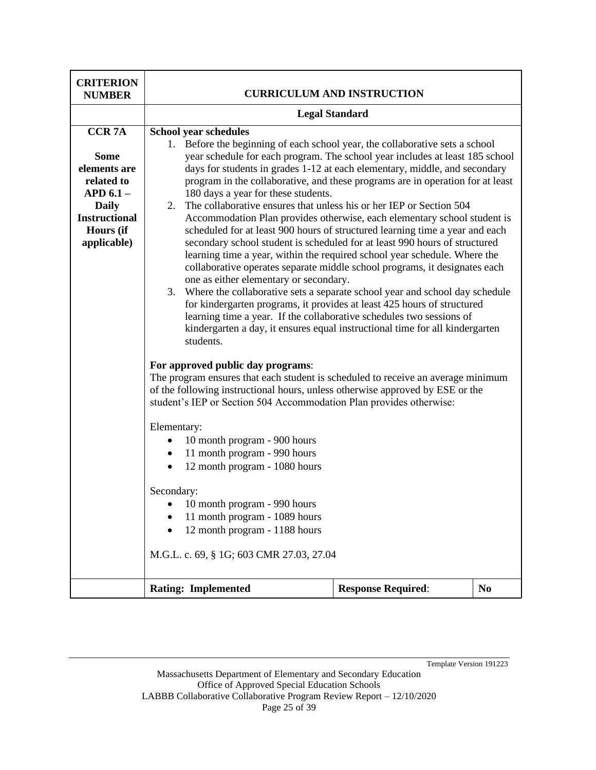| <b>CRITERION</b><br><b>NUMBER</b>                                                                                                            | <b>CURRICULUM AND INSTRUCTION</b>                                                                                                                                                                                                                                                                                                                                                                                                                                                                                                                                                                                                                                                                                                                                                                                                                                                                                                                                                                                                                                                                                                                                                                                                                                                                                                                                                                                                                                                                                                                                                                                                                                                                                                                                                                                                                                                                     |                           |                |
|----------------------------------------------------------------------------------------------------------------------------------------------|-------------------------------------------------------------------------------------------------------------------------------------------------------------------------------------------------------------------------------------------------------------------------------------------------------------------------------------------------------------------------------------------------------------------------------------------------------------------------------------------------------------------------------------------------------------------------------------------------------------------------------------------------------------------------------------------------------------------------------------------------------------------------------------------------------------------------------------------------------------------------------------------------------------------------------------------------------------------------------------------------------------------------------------------------------------------------------------------------------------------------------------------------------------------------------------------------------------------------------------------------------------------------------------------------------------------------------------------------------------------------------------------------------------------------------------------------------------------------------------------------------------------------------------------------------------------------------------------------------------------------------------------------------------------------------------------------------------------------------------------------------------------------------------------------------------------------------------------------------------------------------------------------------|---------------------------|----------------|
|                                                                                                                                              | <b>Legal Standard</b>                                                                                                                                                                                                                                                                                                                                                                                                                                                                                                                                                                                                                                                                                                                                                                                                                                                                                                                                                                                                                                                                                                                                                                                                                                                                                                                                                                                                                                                                                                                                                                                                                                                                                                                                                                                                                                                                                 |                           |                |
| <b>CCR7A</b><br><b>Some</b><br>elements are<br>related to<br>$APD 6.1 -$<br><b>Daily</b><br><b>Instructional</b><br>Hours (if<br>applicable) | <b>School year schedules</b><br>1. Before the beginning of each school year, the collaborative sets a school<br>year schedule for each program. The school year includes at least 185 school<br>days for students in grades 1-12 at each elementary, middle, and secondary<br>program in the collaborative, and these programs are in operation for at least<br>180 days a year for these students.<br>The collaborative ensures that unless his or her IEP or Section 504<br>2.<br>Accommodation Plan provides otherwise, each elementary school student is<br>scheduled for at least 900 hours of structured learning time a year and each<br>secondary school student is scheduled for at least 990 hours of structured<br>learning time a year, within the required school year schedule. Where the<br>collaborative operates separate middle school programs, it designates each<br>one as either elementary or secondary.<br>3. Where the collaborative sets a separate school year and school day schedule<br>for kindergarten programs, it provides at least 425 hours of structured<br>learning time a year. If the collaborative schedules two sessions of<br>kindergarten a day, it ensures equal instructional time for all kindergarten<br>students.<br>For approved public day programs:<br>The program ensures that each student is scheduled to receive an average minimum<br>of the following instructional hours, unless otherwise approved by ESE or the<br>student's IEP or Section 504 Accommodation Plan provides otherwise:<br>Elementary:<br>10 month program - 900 hours<br>$\bullet$<br>11 month program - 990 hours<br>$\bullet$<br>12 month program - 1080 hours<br>$\bullet$<br>Secondary:<br>• 10 month program - 990 hours<br>11 month program - 1089 hours<br>12 month program - 1188 hours<br>M.G.L. c. 69, § 1G; 603 CMR 27.03, 27.04<br><b>Rating: Implemented</b> | <b>Response Required:</b> | N <sub>0</sub> |
|                                                                                                                                              |                                                                                                                                                                                                                                                                                                                                                                                                                                                                                                                                                                                                                                                                                                                                                                                                                                                                                                                                                                                                                                                                                                                                                                                                                                                                                                                                                                                                                                                                                                                                                                                                                                                                                                                                                                                                                                                                                                       |                           |                |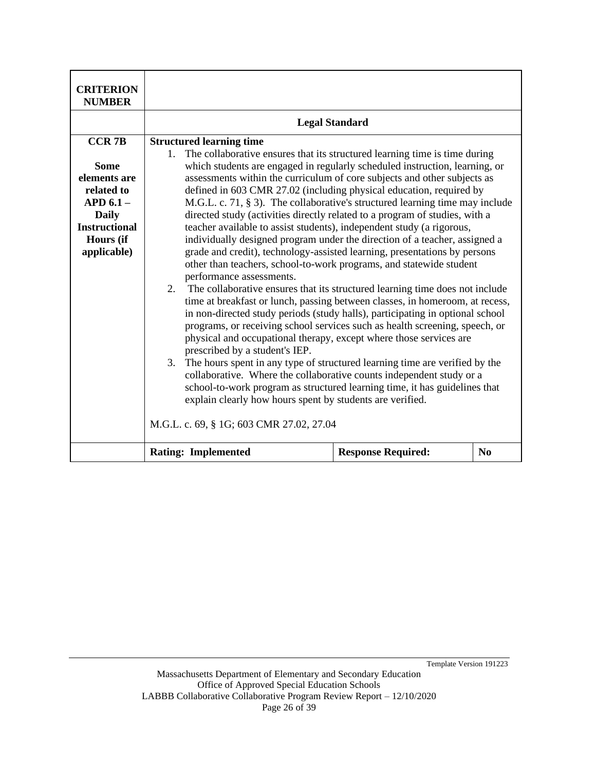| <b>CRITERION</b><br><b>NUMBER</b>                                                                                                             |                                                                                                                                                                                                                                                                                                                                                                                                                                                                                                                                                                                                                                                                                                                                                                                                                                                                                                                                                                                                                                                                                                                          |  |  |
|-----------------------------------------------------------------------------------------------------------------------------------------------|--------------------------------------------------------------------------------------------------------------------------------------------------------------------------------------------------------------------------------------------------------------------------------------------------------------------------------------------------------------------------------------------------------------------------------------------------------------------------------------------------------------------------------------------------------------------------------------------------------------------------------------------------------------------------------------------------------------------------------------------------------------------------------------------------------------------------------------------------------------------------------------------------------------------------------------------------------------------------------------------------------------------------------------------------------------------------------------------------------------------------|--|--|
|                                                                                                                                               | <b>Legal Standard</b>                                                                                                                                                                                                                                                                                                                                                                                                                                                                                                                                                                                                                                                                                                                                                                                                                                                                                                                                                                                                                                                                                                    |  |  |
| <b>CCR 7B</b><br><b>Some</b><br>elements are<br>related to<br>$APD 6.1 -$<br><b>Daily</b><br><b>Instructional</b><br>Hours (if<br>applicable) | <b>Structured learning time</b><br>The collaborative ensures that its structured learning time is time during<br>$1_{\cdot}$<br>which students are engaged in regularly scheduled instruction, learning, or<br>assessments within the curriculum of core subjects and other subjects as<br>defined in 603 CMR 27.02 (including physical education, required by<br>M.G.L. c. 71, § 3). The collaborative's structured learning time may include<br>directed study (activities directly related to a program of studies, with a<br>teacher available to assist students), independent study (a rigorous,<br>individually designed program under the direction of a teacher, assigned a<br>grade and credit), technology-assisted learning, presentations by persons<br>other than teachers, school-to-work programs, and statewide student<br>performance assessments.<br>2. The collaborative ensures that its structured learning time does not include<br>time at breakfast or lunch, passing between classes, in homeroom, at recess,<br>in non-directed study periods (study halls), participating in optional school |  |  |
|                                                                                                                                               | programs, or receiving school services such as health screening, speech, or<br>physical and occupational therapy, except where those services are<br>prescribed by a student's IEP.<br>3. The hours spent in any type of structured learning time are verified by the<br>collaborative. Where the collaborative counts independent study or a<br>school-to-work program as structured learning time, it has guidelines that<br>explain clearly how hours spent by students are verified.<br>M.G.L. c. 69, § 1G; 603 CMR 27.02, 27.04<br><b>Rating: Implemented</b><br><b>Response Required:</b><br>$\bf No$                                                                                                                                                                                                                                                                                                                                                                                                                                                                                                              |  |  |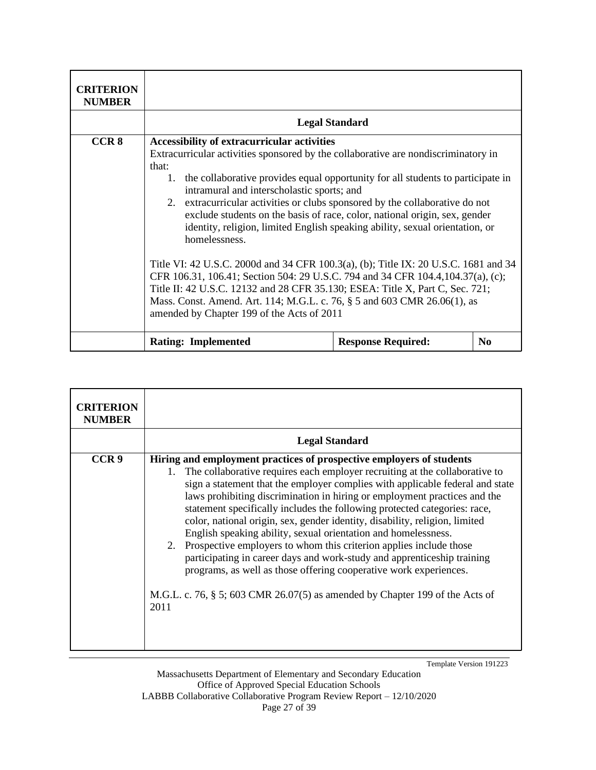| <b>CRITERION</b><br><b>NUMBER</b> |                                                                                                                                                                                                                                                                                                                                                                                                                                                                                                                                                                                                                                                                                                                                                                                                                                                                                                                                               |                           |          |
|-----------------------------------|-----------------------------------------------------------------------------------------------------------------------------------------------------------------------------------------------------------------------------------------------------------------------------------------------------------------------------------------------------------------------------------------------------------------------------------------------------------------------------------------------------------------------------------------------------------------------------------------------------------------------------------------------------------------------------------------------------------------------------------------------------------------------------------------------------------------------------------------------------------------------------------------------------------------------------------------------|---------------------------|----------|
|                                   |                                                                                                                                                                                                                                                                                                                                                                                                                                                                                                                                                                                                                                                                                                                                                                                                                                                                                                                                               | <b>Legal Standard</b>     |          |
| CCR <sub>8</sub>                  | <b>Accessibility of extracurricular activities</b><br>Extracurricular activities sponsored by the collaborative are nondiscriminatory in<br>that:<br>the collaborative provides equal opportunity for all students to participate in<br>1.<br>intramural and interscholastic sports; and<br>2. extracurricular activities or clubs sponsored by the collaborative do not<br>exclude students on the basis of race, color, national origin, sex, gender<br>identity, religion, limited English speaking ability, sexual orientation, or<br>homelessness.<br>Title VI: 42 U.S.C. 2000d and 34 CFR 100.3(a), (b); Title IX: 20 U.S.C. 1681 and 34<br>CFR 106.31, 106.41; Section 504: 29 U.S.C. 794 and 34 CFR 104.4, 104.37(a), (c);<br>Title II: 42 U.S.C. 12132 and 28 CFR 35.130; ESEA: Title X, Part C, Sec. 721;<br>Mass. Const. Amend. Art. 114; M.G.L. c. 76, § 5 and 603 CMR 26.06(1), as<br>amended by Chapter 199 of the Acts of 2011 |                           |          |
|                                   | <b>Rating: Implemented</b>                                                                                                                                                                                                                                                                                                                                                                                                                                                                                                                                                                                                                                                                                                                                                                                                                                                                                                                    | <b>Response Required:</b> | $\bf No$ |

| <b>CRITERION</b><br><b>NUMBER</b> |                                                                                                                                                                                                                                                                                                                                                                                                                                                                                                                                                                                                                                                                                                                                                                                                                                                                           |
|-----------------------------------|---------------------------------------------------------------------------------------------------------------------------------------------------------------------------------------------------------------------------------------------------------------------------------------------------------------------------------------------------------------------------------------------------------------------------------------------------------------------------------------------------------------------------------------------------------------------------------------------------------------------------------------------------------------------------------------------------------------------------------------------------------------------------------------------------------------------------------------------------------------------------|
|                                   | <b>Legal Standard</b>                                                                                                                                                                                                                                                                                                                                                                                                                                                                                                                                                                                                                                                                                                                                                                                                                                                     |
| CCR <sub>9</sub>                  | Hiring and employment practices of prospective employers of students<br>The collaborative requires each employer recruiting at the collaborative to<br>1.<br>sign a statement that the employer complies with applicable federal and state<br>laws prohibiting discrimination in hiring or employment practices and the<br>statement specifically includes the following protected categories: race,<br>color, national origin, sex, gender identity, disability, religion, limited<br>English speaking ability, sexual orientation and homelessness.<br>2. Prospective employers to whom this criterion applies include those<br>participating in career days and work-study and apprenticeship training<br>programs, as well as those offering cooperative work experiences.<br>M.G.L. c. 76, $\S$ 5; 603 CMR 26.07(5) as amended by Chapter 199 of the Acts of<br>2011 |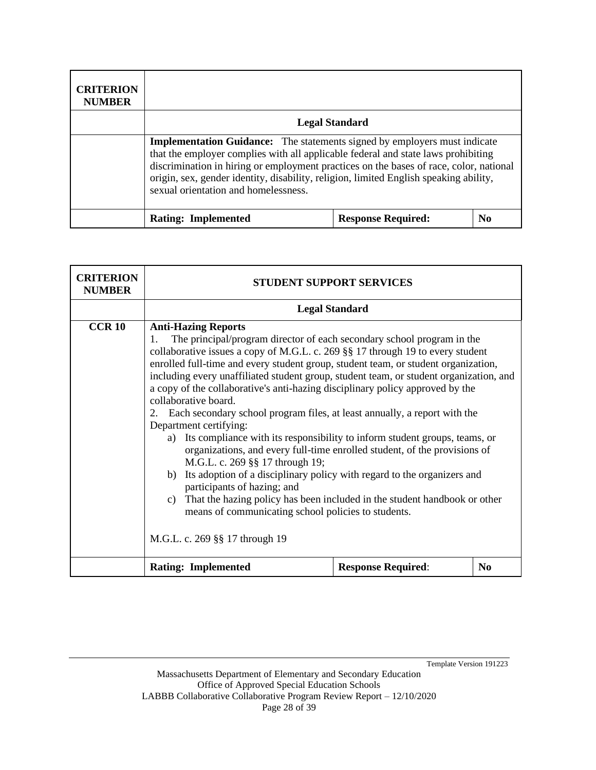| <b>CRITERION</b><br><b>NUMBER</b> |                                                                                                                                                                                                                                                                                                                                                                                                  |                           |                |
|-----------------------------------|--------------------------------------------------------------------------------------------------------------------------------------------------------------------------------------------------------------------------------------------------------------------------------------------------------------------------------------------------------------------------------------------------|---------------------------|----------------|
|                                   | <b>Legal Standard</b>                                                                                                                                                                                                                                                                                                                                                                            |                           |                |
|                                   | <b>Implementation Guidance:</b> The statements signed by employers must indicate<br>that the employer complies with all applicable federal and state laws prohibiting<br>discrimination in hiring or employment practices on the bases of race, color, national<br>origin, sex, gender identity, disability, religion, limited English speaking ability,<br>sexual orientation and homelessness. |                           |                |
|                                   | <b>Rating: Implemented</b>                                                                                                                                                                                                                                                                                                                                                                       | <b>Response Required:</b> | N <sub>0</sub> |

| <b>CRITERION</b><br><b>NUMBER</b> | <b>STUDENT SUPPORT SERVICES</b>                                                                                                                                                                                                                                                                                                                                                                                                                                                                                                                                                                                                                                                                                                                                                                                                                                                                                                                                                                                                                                                                                    |                           |                |
|-----------------------------------|--------------------------------------------------------------------------------------------------------------------------------------------------------------------------------------------------------------------------------------------------------------------------------------------------------------------------------------------------------------------------------------------------------------------------------------------------------------------------------------------------------------------------------------------------------------------------------------------------------------------------------------------------------------------------------------------------------------------------------------------------------------------------------------------------------------------------------------------------------------------------------------------------------------------------------------------------------------------------------------------------------------------------------------------------------------------------------------------------------------------|---------------------------|----------------|
|                                   |                                                                                                                                                                                                                                                                                                                                                                                                                                                                                                                                                                                                                                                                                                                                                                                                                                                                                                                                                                                                                                                                                                                    |                           |                |
| <b>CCR 10</b>                     | <b>Legal Standard</b><br><b>Anti-Hazing Reports</b><br>The principal/program director of each secondary school program in the<br>1.<br>collaborative issues a copy of M.G.L. c. 269 §§ 17 through 19 to every student<br>enrolled full-time and every student group, student team, or student organization,<br>including every unaffiliated student group, student team, or student organization, and<br>a copy of the collaborative's anti-hazing disciplinary policy approved by the<br>collaborative board.<br>2. Each secondary school program files, at least annually, a report with the<br>Department certifying:<br>Its compliance with its responsibility to inform student groups, teams, or<br>a)<br>organizations, and every full-time enrolled student, of the provisions of<br>M.G.L. c. 269 §§ 17 through 19;<br>b) Its adoption of a disciplinary policy with regard to the organizers and<br>participants of hazing; and<br>c) That the hazing policy has been included in the student handbook or other<br>means of communicating school policies to students.<br>M.G.L. c. 269 §§ 17 through 19 |                           |                |
|                                   | <b>Rating: Implemented</b>                                                                                                                                                                                                                                                                                                                                                                                                                                                                                                                                                                                                                                                                                                                                                                                                                                                                                                                                                                                                                                                                                         | <b>Response Required:</b> | N <sub>0</sub> |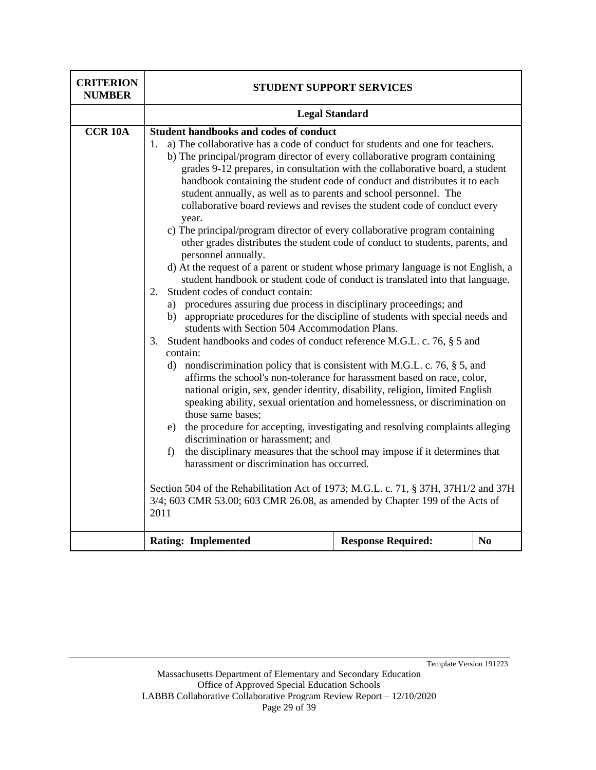| <b>CRITERION</b><br><b>NUMBER</b> | STUDENT SUPPORT SERVICES                                                                                                                                                                                                                                                                                                                                                                                                                                                                                                                                                                                                                                                                                                                                                                                                                                                                                                                                                                                                                                                                                                                                                                                                                                                                                                                                                                                                                                                                                                                                                                                                                                                                                                                                                                                                                                                                                                                                                                                                                                         |                           |  |  |
|-----------------------------------|------------------------------------------------------------------------------------------------------------------------------------------------------------------------------------------------------------------------------------------------------------------------------------------------------------------------------------------------------------------------------------------------------------------------------------------------------------------------------------------------------------------------------------------------------------------------------------------------------------------------------------------------------------------------------------------------------------------------------------------------------------------------------------------------------------------------------------------------------------------------------------------------------------------------------------------------------------------------------------------------------------------------------------------------------------------------------------------------------------------------------------------------------------------------------------------------------------------------------------------------------------------------------------------------------------------------------------------------------------------------------------------------------------------------------------------------------------------------------------------------------------------------------------------------------------------------------------------------------------------------------------------------------------------------------------------------------------------------------------------------------------------------------------------------------------------------------------------------------------------------------------------------------------------------------------------------------------------------------------------------------------------------------------------------------------------|---------------------------|--|--|
|                                   | <b>Legal Standard</b>                                                                                                                                                                                                                                                                                                                                                                                                                                                                                                                                                                                                                                                                                                                                                                                                                                                                                                                                                                                                                                                                                                                                                                                                                                                                                                                                                                                                                                                                                                                                                                                                                                                                                                                                                                                                                                                                                                                                                                                                                                            |                           |  |  |
| <b>CCR 10A</b>                    | Student handbooks and codes of conduct<br>a) The collaborative has a code of conduct for students and one for teachers.<br>1.<br>b) The principal/program director of every collaborative program containing<br>grades 9-12 prepares, in consultation with the collaborative board, a student<br>handbook containing the student code of conduct and distributes it to each<br>student annually, as well as to parents and school personnel. The<br>collaborative board reviews and revises the student code of conduct every<br>year.<br>c) The principal/program director of every collaborative program containing<br>other grades distributes the student code of conduct to students, parents, and<br>personnel annually.<br>d) At the request of a parent or student whose primary language is not English, a<br>student handbook or student code of conduct is translated into that language.<br>Student codes of conduct contain:<br>2.<br>a) procedures assuring due process in disciplinary proceedings; and<br>b) appropriate procedures for the discipline of students with special needs and<br>students with Section 504 Accommodation Plans.<br>Student handbooks and codes of conduct reference M.G.L. c. 76, § 5 and<br>3.<br>contain:<br>d) nondiscrimination policy that is consistent with M.G.L. c. 76, $\S$ 5, and<br>affirms the school's non-tolerance for harassment based on race, color,<br>national origin, sex, gender identity, disability, religion, limited English<br>speaking ability, sexual orientation and homelessness, or discrimination on<br>those same bases;<br>e) the procedure for accepting, investigating and resolving complaints alleging<br>discrimination or harassment: and<br>the disciplinary measures that the school may impose if it determines that<br>f)<br>harassment or discrimination has occurred.<br>Section 504 of the Rehabilitation Act of 1973; M.G.L. c. 71, § 37H, 37H1/2 and 37H<br>3/4; 603 CMR 53.00; 603 CMR 26.08, as amended by Chapter 199 of the Acts of<br>2011<br>N <sub>0</sub> |                           |  |  |
|                                   | <b>Rating: Implemented</b>                                                                                                                                                                                                                                                                                                                                                                                                                                                                                                                                                                                                                                                                                                                                                                                                                                                                                                                                                                                                                                                                                                                                                                                                                                                                                                                                                                                                                                                                                                                                                                                                                                                                                                                                                                                                                                                                                                                                                                                                                                       | <b>Response Required:</b> |  |  |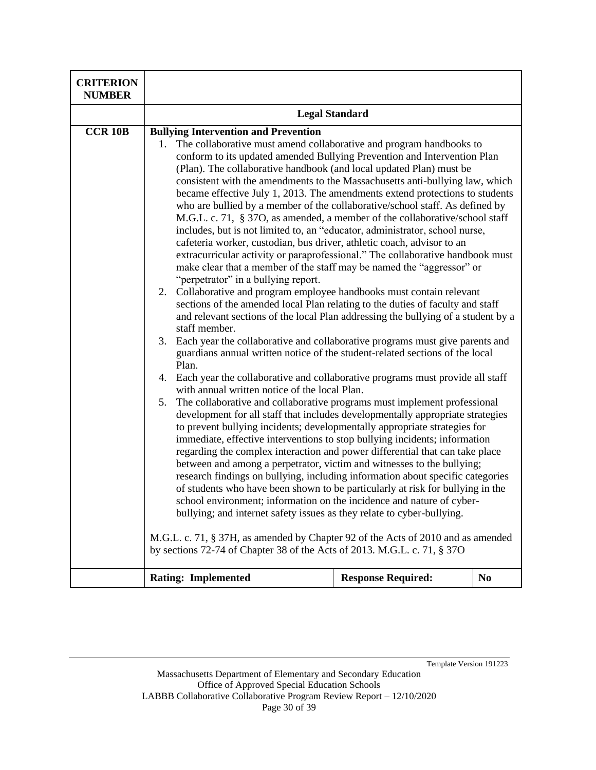| <b>CRITERION</b><br><b>NUMBER</b> |                                                                                                                                                                                                                                                                                                                                                                                                                                                                                                                                                                                                                                                                                                                                                                                                                                                                                                                                                                                                                                                                                                                                                                                                                                                                                                                                                                                                                                                                                                                                                                                                                                                                                                                                                                                                                                                                                                                                                                                                                                                                                                                                                                                                                                                                                                                                                                                                                                                                                                                                               |                           |                |
|-----------------------------------|-----------------------------------------------------------------------------------------------------------------------------------------------------------------------------------------------------------------------------------------------------------------------------------------------------------------------------------------------------------------------------------------------------------------------------------------------------------------------------------------------------------------------------------------------------------------------------------------------------------------------------------------------------------------------------------------------------------------------------------------------------------------------------------------------------------------------------------------------------------------------------------------------------------------------------------------------------------------------------------------------------------------------------------------------------------------------------------------------------------------------------------------------------------------------------------------------------------------------------------------------------------------------------------------------------------------------------------------------------------------------------------------------------------------------------------------------------------------------------------------------------------------------------------------------------------------------------------------------------------------------------------------------------------------------------------------------------------------------------------------------------------------------------------------------------------------------------------------------------------------------------------------------------------------------------------------------------------------------------------------------------------------------------------------------------------------------------------------------------------------------------------------------------------------------------------------------------------------------------------------------------------------------------------------------------------------------------------------------------------------------------------------------------------------------------------------------------------------------------------------------------------------------------------------------|---------------------------|----------------|
|                                   | <b>Legal Standard</b>                                                                                                                                                                                                                                                                                                                                                                                                                                                                                                                                                                                                                                                                                                                                                                                                                                                                                                                                                                                                                                                                                                                                                                                                                                                                                                                                                                                                                                                                                                                                                                                                                                                                                                                                                                                                                                                                                                                                                                                                                                                                                                                                                                                                                                                                                                                                                                                                                                                                                                                         |                           |                |
| <b>CCR 10B</b>                    | <b>Bullying Intervention and Prevention</b><br>The collaborative must amend collaborative and program handbooks to<br>1.<br>conform to its updated amended Bullying Prevention and Intervention Plan<br>(Plan). The collaborative handbook (and local updated Plan) must be<br>consistent with the amendments to the Massachusetts anti-bullying law, which<br>became effective July 1, 2013. The amendments extend protections to students<br>who are bullied by a member of the collaborative/school staff. As defined by<br>M.G.L. c. 71, § 37O, as amended, a member of the collaborative/school staff<br>includes, but is not limited to, an "educator, administrator, school nurse,<br>cafeteria worker, custodian, bus driver, athletic coach, advisor to an<br>extracurricular activity or paraprofessional." The collaborative handbook must<br>make clear that a member of the staff may be named the "aggressor" or<br>"perpetrator" in a bullying report.<br>2. Collaborative and program employee handbooks must contain relevant<br>sections of the amended local Plan relating to the duties of faculty and staff<br>and relevant sections of the local Plan addressing the bullying of a student by a<br>staff member.<br>Each year the collaborative and collaborative programs must give parents and<br>3.<br>guardians annual written notice of the student-related sections of the local<br>Plan.<br>4.<br>Each year the collaborative and collaborative programs must provide all staff<br>with annual written notice of the local Plan.<br>The collaborative and collaborative programs must implement professional<br>5.<br>development for all staff that includes developmentally appropriate strategies<br>to prevent bullying incidents; developmentally appropriate strategies for<br>immediate, effective interventions to stop bullying incidents; information<br>regarding the complex interaction and power differential that can take place<br>between and among a perpetrator, victim and witnesses to the bullying;<br>research findings on bullying, including information about specific categories<br>of students who have been shown to be particularly at risk for bullying in the<br>school environment; information on the incidence and nature of cyber-<br>bullying; and internet safety issues as they relate to cyber-bullying.<br>M.G.L. c. 71, § 37H, as amended by Chapter 92 of the Acts of 2010 and as amended<br>by sections 72-74 of Chapter 38 of the Acts of 2013. M.G.L. c. 71, § 37O |                           |                |
|                                   | <b>Rating: Implemented</b>                                                                                                                                                                                                                                                                                                                                                                                                                                                                                                                                                                                                                                                                                                                                                                                                                                                                                                                                                                                                                                                                                                                                                                                                                                                                                                                                                                                                                                                                                                                                                                                                                                                                                                                                                                                                                                                                                                                                                                                                                                                                                                                                                                                                                                                                                                                                                                                                                                                                                                                    | <b>Response Required:</b> | N <sub>0</sub> |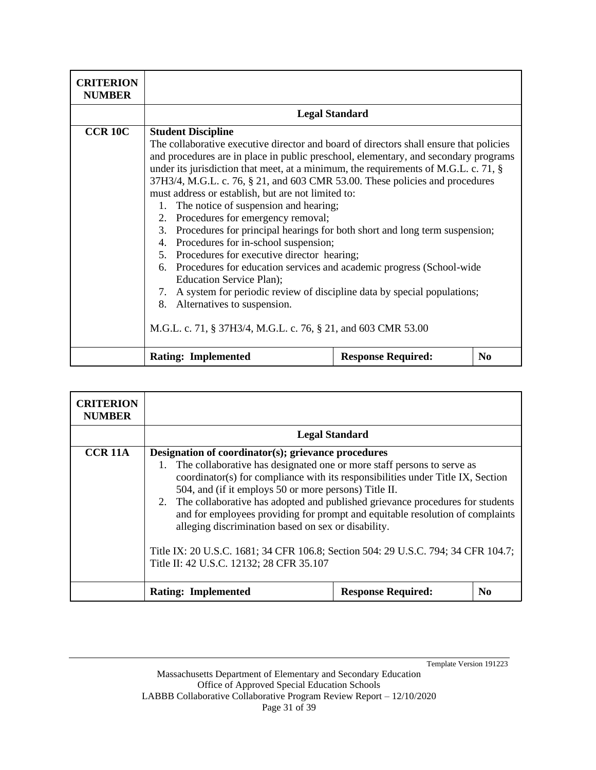| <b>CRITERION</b><br><b>NUMBER</b> |                                                                                                                                                                                                                                                                                                                                                                                                                                                                                                                                                                                                                                                                                                                                                                                                                                                                                                                                                                                                                           |                           |                |
|-----------------------------------|---------------------------------------------------------------------------------------------------------------------------------------------------------------------------------------------------------------------------------------------------------------------------------------------------------------------------------------------------------------------------------------------------------------------------------------------------------------------------------------------------------------------------------------------------------------------------------------------------------------------------------------------------------------------------------------------------------------------------------------------------------------------------------------------------------------------------------------------------------------------------------------------------------------------------------------------------------------------------------------------------------------------------|---------------------------|----------------|
|                                   |                                                                                                                                                                                                                                                                                                                                                                                                                                                                                                                                                                                                                                                                                                                                                                                                                                                                                                                                                                                                                           |                           |                |
| <b>CCR 10C</b>                    | <b>Legal Standard</b><br><b>Student Discipline</b><br>The collaborative executive director and board of directors shall ensure that policies<br>and procedures are in place in public preschool, elementary, and secondary programs<br>under its jurisdiction that meet, at a minimum, the requirements of M.G.L. c. 71, §<br>37H3/4, M.G.L. c. 76, § 21, and 603 CMR 53.00. These policies and procedures<br>must address or establish, but are not limited to:<br>1. The notice of suspension and hearing;<br>2. Procedures for emergency removal;<br>3. Procedures for principal hearings for both short and long term suspension;<br>4. Procedures for in-school suspension;<br>5. Procedures for executive director hearing;<br>6. Procedures for education services and academic progress (School-wide<br>Education Service Plan);<br>7. A system for periodic review of discipline data by special populations;<br>8. Alternatives to suspension.<br>M.G.L. c. 71, § 37H3/4, M.G.L. c. 76, § 21, and 603 CMR 53.00 |                           |                |
|                                   | <b>Rating: Implemented</b>                                                                                                                                                                                                                                                                                                                                                                                                                                                                                                                                                                                                                                                                                                                                                                                                                                                                                                                                                                                                | <b>Response Required:</b> | N <sub>0</sub> |

| <b>CRITERION</b><br><b>NUMBER</b> |                                                                                                                                                                                                                                                                                                                                                                                                                                                                                                                                                                                                                                                                    |                           |                      |
|-----------------------------------|--------------------------------------------------------------------------------------------------------------------------------------------------------------------------------------------------------------------------------------------------------------------------------------------------------------------------------------------------------------------------------------------------------------------------------------------------------------------------------------------------------------------------------------------------------------------------------------------------------------------------------------------------------------------|---------------------------|----------------------|
|                                   |                                                                                                                                                                                                                                                                                                                                                                                                                                                                                                                                                                                                                                                                    |                           |                      |
| CCR 11A                           | <b>Legal Standard</b><br>Designation of coordinator(s); grievance procedures<br>1. The collaborative has designated one or more staff persons to serve as<br>coordinator(s) for compliance with its responsibilities under Title IX, Section<br>504, and (if it employs 50 or more persons) Title II.<br>2. The collaborative has adopted and published grievance procedures for students<br>and for employees providing for prompt and equitable resolution of complaints<br>alleging discrimination based on sex or disability.<br>Title IX: 20 U.S.C. 1681; 34 CFR 106.8; Section 504: 29 U.S.C. 794; 34 CFR 104.7;<br>Title II: 42 U.S.C. 12132; 28 CFR 35.107 |                           |                      |
|                                   | <b>Rating: Implemented</b>                                                                                                                                                                                                                                                                                                                                                                                                                                                                                                                                                                                                                                         | <b>Response Required:</b> | $\bf N$ <sub>0</sub> |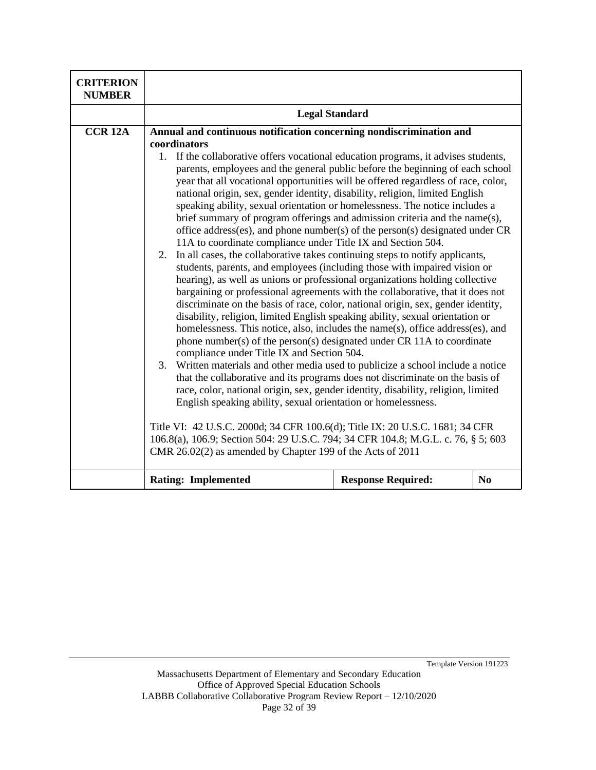| <b>CRITERION</b><br><b>NUMBER</b> |                                                                                                                                                                                                                                                                                                                                                                                                                                                                                                                                                                                                                                                                                                                                                                                                                                                                                                                                                                                                                                                                                                                                                                                             |                           |                |
|-----------------------------------|---------------------------------------------------------------------------------------------------------------------------------------------------------------------------------------------------------------------------------------------------------------------------------------------------------------------------------------------------------------------------------------------------------------------------------------------------------------------------------------------------------------------------------------------------------------------------------------------------------------------------------------------------------------------------------------------------------------------------------------------------------------------------------------------------------------------------------------------------------------------------------------------------------------------------------------------------------------------------------------------------------------------------------------------------------------------------------------------------------------------------------------------------------------------------------------------|---------------------------|----------------|
|                                   | <b>Legal Standard</b>                                                                                                                                                                                                                                                                                                                                                                                                                                                                                                                                                                                                                                                                                                                                                                                                                                                                                                                                                                                                                                                                                                                                                                       |                           |                |
| <b>CCR 12A</b>                    | Annual and continuous notification concerning nondiscrimination and<br>coordinators<br>If the collaborative offers vocational education programs, it advises students,<br>$1_{\cdot}$<br>parents, employees and the general public before the beginning of each school<br>year that all vocational opportunities will be offered regardless of race, color,<br>national origin, sex, gender identity, disability, religion, limited English<br>speaking ability, sexual orientation or homelessness. The notice includes a<br>brief summary of program offerings and admission criteria and the name(s),<br>office address(es), and phone number(s) of the person(s) designated under CR<br>11A to coordinate compliance under Title IX and Section 504.<br>In all cases, the collaborative takes continuing steps to notify applicants,<br>2.                                                                                                                                                                                                                                                                                                                                              |                           |                |
|                                   | students, parents, and employees (including those with impaired vision or<br>hearing), as well as unions or professional organizations holding collective<br>bargaining or professional agreements with the collaborative, that it does not<br>discriminate on the basis of race, color, national origin, sex, gender identity,<br>disability, religion, limited English speaking ability, sexual orientation or<br>homelessness. This notice, also, includes the name(s), office address(es), and<br>phone number(s) of the person(s) designated under CR 11A to coordinate<br>compliance under Title IX and Section 504.<br>Written materials and other media used to publicize a school include a notice<br>3.<br>that the collaborative and its programs does not discriminate on the basis of<br>race, color, national origin, sex, gender identity, disability, religion, limited<br>English speaking ability, sexual orientation or homelessness.<br>Title VI: 42 U.S.C. 2000d; 34 CFR 100.6(d); Title IX: 20 U.S.C. 1681; 34 CFR<br>106.8(a), 106.9; Section 504: 29 U.S.C. 794; 34 CFR 104.8; M.G.L. c. 76, § 5; 603<br>CMR 26.02(2) as amended by Chapter 199 of the Acts of 2011 |                           |                |
|                                   | <b>Rating: Implemented</b>                                                                                                                                                                                                                                                                                                                                                                                                                                                                                                                                                                                                                                                                                                                                                                                                                                                                                                                                                                                                                                                                                                                                                                  | <b>Response Required:</b> | N <sub>0</sub> |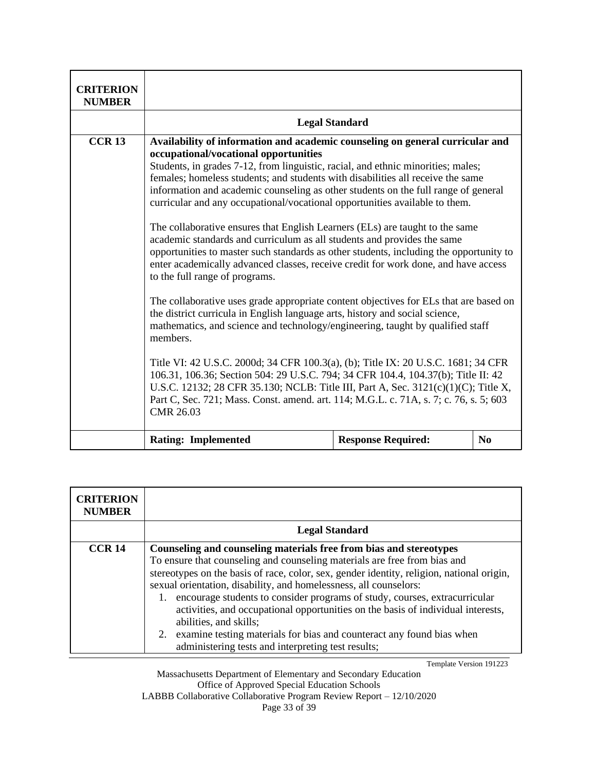| <b>CRITERION</b><br><b>NUMBER</b> |                                                                                                                                                                                                                                                                                                                                                                                                                                                                                                                                                                                                                                                                                                                                                                                                                                                                                                                                                                                                                                                                                                                                                                                                                                                                                                                                                                                                                                                                                                     |                           |          |
|-----------------------------------|-----------------------------------------------------------------------------------------------------------------------------------------------------------------------------------------------------------------------------------------------------------------------------------------------------------------------------------------------------------------------------------------------------------------------------------------------------------------------------------------------------------------------------------------------------------------------------------------------------------------------------------------------------------------------------------------------------------------------------------------------------------------------------------------------------------------------------------------------------------------------------------------------------------------------------------------------------------------------------------------------------------------------------------------------------------------------------------------------------------------------------------------------------------------------------------------------------------------------------------------------------------------------------------------------------------------------------------------------------------------------------------------------------------------------------------------------------------------------------------------------------|---------------------------|----------|
|                                   |                                                                                                                                                                                                                                                                                                                                                                                                                                                                                                                                                                                                                                                                                                                                                                                                                                                                                                                                                                                                                                                                                                                                                                                                                                                                                                                                                                                                                                                                                                     | <b>Legal Standard</b>     |          |
| <b>CCR13</b>                      | Availability of information and academic counseling on general curricular and<br>occupational/vocational opportunities<br>Students, in grades 7-12, from linguistic, racial, and ethnic minorities; males;<br>females; homeless students; and students with disabilities all receive the same<br>information and academic counseling as other students on the full range of general<br>curricular and any occupational/vocational opportunities available to them.<br>The collaborative ensures that English Learners (ELs) are taught to the same<br>academic standards and curriculum as all students and provides the same<br>opportunities to master such standards as other students, including the opportunity to<br>enter academically advanced classes, receive credit for work done, and have access<br>to the full range of programs.<br>The collaborative uses grade appropriate content objectives for ELs that are based on<br>the district curricula in English language arts, history and social science,<br>mathematics, and science and technology/engineering, taught by qualified staff<br>members.<br>Title VI: 42 U.S.C. 2000d; 34 CFR 100.3(a), (b); Title IX: 20 U.S.C. 1681; 34 CFR<br>106.31, 106.36; Section 504: 29 U.S.C. 794; 34 CFR 104.4, 104.37(b); Title II: 42<br>U.S.C. 12132; 28 CFR 35.130; NCLB: Title III, Part A, Sec. 3121(c)(1)(C); Title X,<br>Part C, Sec. 721; Mass. Const. amend. art. 114; M.G.L. c. 71A, s. 7; c. 76, s. 5; 603<br><b>CMR 26.03</b> |                           |          |
|                                   | <b>Rating: Implemented</b>                                                                                                                                                                                                                                                                                                                                                                                                                                                                                                                                                                                                                                                                                                                                                                                                                                                                                                                                                                                                                                                                                                                                                                                                                                                                                                                                                                                                                                                                          | <b>Response Required:</b> | $\bf No$ |

| <b>CRITERION</b><br><b>NUMBER</b> |                                                                                                                                                                                                                                                                                                                                                                                                                                                                                                                                                                                                                                                       |
|-----------------------------------|-------------------------------------------------------------------------------------------------------------------------------------------------------------------------------------------------------------------------------------------------------------------------------------------------------------------------------------------------------------------------------------------------------------------------------------------------------------------------------------------------------------------------------------------------------------------------------------------------------------------------------------------------------|
|                                   | <b>Legal Standard</b>                                                                                                                                                                                                                                                                                                                                                                                                                                                                                                                                                                                                                                 |
| CCR <sub>14</sub>                 | Counseling and counseling materials free from bias and stereotypes<br>To ensure that counseling and counseling materials are free from bias and<br>stereotypes on the basis of race, color, sex, gender identity, religion, national origin,<br>sexual orientation, disability, and homelessness, all counselors:<br>encourage students to consider programs of study, courses, extracurricular<br>1.<br>activities, and occupational opportunities on the basis of individual interests,<br>abilities, and skills;<br>2. examine testing materials for bias and counteract any found bias when<br>administering tests and interpreting test results; |

Massachusetts Department of Elementary and Secondary Education Office of Approved Special Education Schools LABBB Collaborative Collaborative Program Review Report – 12/10/2020 Page 33 of 39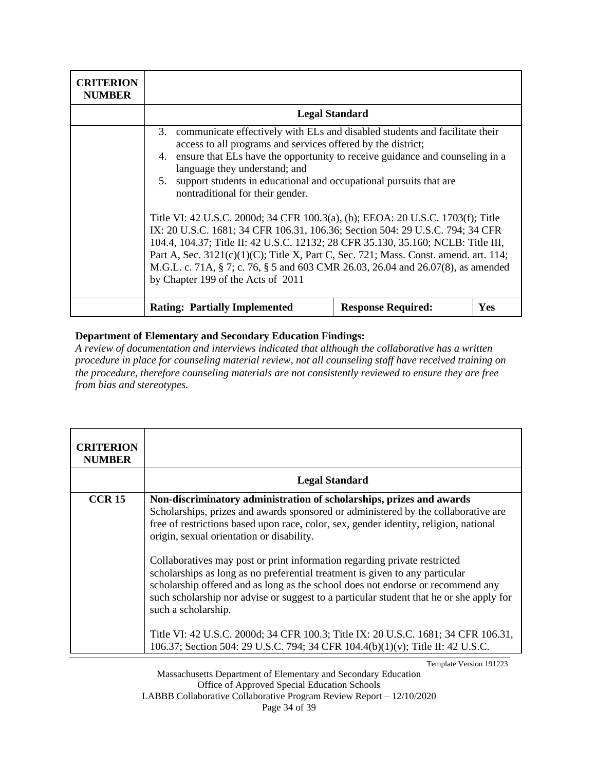| <b>CRITERION</b><br><b>NUMBER</b> |                                                                                                                                                                                                                                                                                                                                                                                                                                                                                                                                                                                                                                                                                                                                                                                                                                                               |                           |            |
|-----------------------------------|---------------------------------------------------------------------------------------------------------------------------------------------------------------------------------------------------------------------------------------------------------------------------------------------------------------------------------------------------------------------------------------------------------------------------------------------------------------------------------------------------------------------------------------------------------------------------------------------------------------------------------------------------------------------------------------------------------------------------------------------------------------------------------------------------------------------------------------------------------------|---------------------------|------------|
|                                   | <b>Legal Standard</b>                                                                                                                                                                                                                                                                                                                                                                                                                                                                                                                                                                                                                                                                                                                                                                                                                                         |                           |            |
|                                   | 3. communicate effectively with ELs and disabled students and facilitate their<br>access to all programs and services offered by the district;<br>4. ensure that ELs have the opportunity to receive guidance and counseling in a<br>language they understand; and<br>support students in educational and occupational pursuits that are<br>5.<br>nontraditional for their gender.<br>Title VI: 42 U.S.C. 2000d; 34 CFR 100.3(a), (b); EEOA: 20 U.S.C. 1703(f); Title<br>IX: 20 U.S.C. 1681; 34 CFR 106.31, 106.36; Section 504: 29 U.S.C. 794; 34 CFR<br>104.4, 104.37; Title II: 42 U.S.C. 12132; 28 CFR 35.130, 35.160; NCLB: Title III,<br>Part A, Sec. 3121(c)(1)(C); Title X, Part C, Sec. 721; Mass. Const. amend. art. 114;<br>M.G.L. c. 71A, § 7; c. 76, § 5 and 603 CMR 26.03, 26.04 and 26.07(8), as amended<br>by Chapter 199 of the Acts of 2011 |                           |            |
|                                   | <b>Rating: Partially Implemented</b>                                                                                                                                                                                                                                                                                                                                                                                                                                                                                                                                                                                                                                                                                                                                                                                                                          | <b>Response Required:</b> | <b>Yes</b> |

*A review of documentation and interviews indicated that although the collaborative has a written procedure in place for counseling material review, not all counseling staff have received training on the procedure, therefore counseling materials are not consistently reviewed to ensure they are free from bias and stereotypes.*

| <b>CRITERION</b><br><b>NUMBER</b> |                                                                                                                                                                                                                                                                                                                                                                |  |
|-----------------------------------|----------------------------------------------------------------------------------------------------------------------------------------------------------------------------------------------------------------------------------------------------------------------------------------------------------------------------------------------------------------|--|
|                                   | <b>Legal Standard</b>                                                                                                                                                                                                                                                                                                                                          |  |
| <b>CCR 15</b>                     | Non-discriminatory administration of scholarships, prizes and awards<br>Scholarships, prizes and awards sponsored or administered by the collaborative are<br>free of restrictions based upon race, color, sex, gender identity, religion, national<br>origin, sexual orientation or disability.                                                               |  |
|                                   | Collaboratives may post or print information regarding private restricted<br>scholarships as long as no preferential treatment is given to any particular<br>scholarship offered and as long as the school does not endorse or recommend any<br>such scholarship nor advise or suggest to a particular student that he or she apply for<br>such a scholarship. |  |
|                                   | Title VI: 42 U.S.C. 2000d; 34 CFR 100.3; Title IX: 20 U.S.C. 1681; 34 CFR 106.31,<br>106.37; Section 504: 29 U.S.C. 794; 34 CFR 104.4(b)(1)(v); Title II: 42 U.S.C.                                                                                                                                                                                            |  |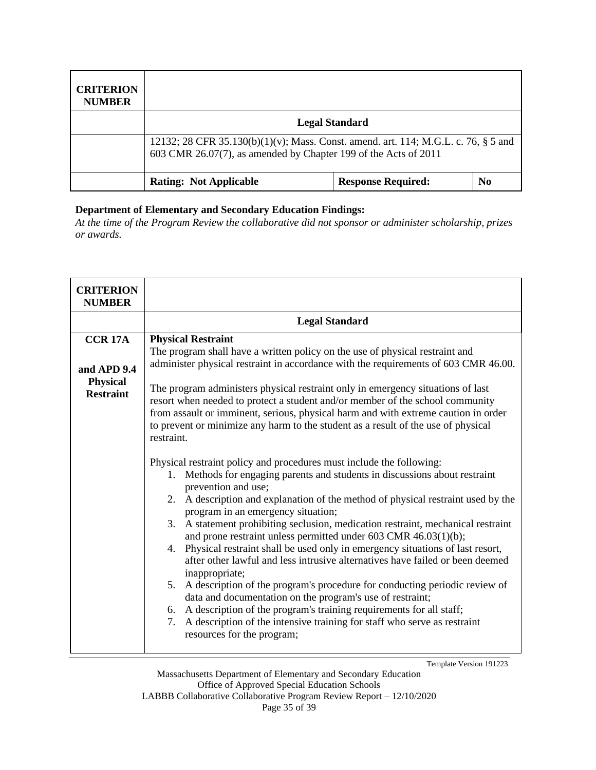| <b>CRITERION</b><br><b>NUMBER</b> |                                                                                                                                                       |                           |                |
|-----------------------------------|-------------------------------------------------------------------------------------------------------------------------------------------------------|---------------------------|----------------|
|                                   | <b>Legal Standard</b>                                                                                                                                 |                           |                |
|                                   | 12132; 28 CFR 35.130(b)(1)(v); Mass. Const. amend. art. 114; M.G.L. c. 76, § 5 and<br>603 CMR 26.07(7), as amended by Chapter 199 of the Acts of 2011 |                           |                |
|                                   | <b>Rating: Not Applicable</b>                                                                                                                         | <b>Response Required:</b> | N <sub>0</sub> |

*At the time of the Program Review the collaborative did not sponsor or administer scholarship, prizes or awards.*

| <b>CRITERION</b><br><b>NUMBER</b>                                    |                                                                                                                                                                                                                                                                                                                                                                                                                                                                                                                                                                                                                                                                                                                                                                                                                                                                                                                                                                                                                                                                                                                                                                                                                                                                                                                                                                                                                                                                                                                                                                |
|----------------------------------------------------------------------|----------------------------------------------------------------------------------------------------------------------------------------------------------------------------------------------------------------------------------------------------------------------------------------------------------------------------------------------------------------------------------------------------------------------------------------------------------------------------------------------------------------------------------------------------------------------------------------------------------------------------------------------------------------------------------------------------------------------------------------------------------------------------------------------------------------------------------------------------------------------------------------------------------------------------------------------------------------------------------------------------------------------------------------------------------------------------------------------------------------------------------------------------------------------------------------------------------------------------------------------------------------------------------------------------------------------------------------------------------------------------------------------------------------------------------------------------------------------------------------------------------------------------------------------------------------|
|                                                                      | <b>Legal Standard</b>                                                                                                                                                                                                                                                                                                                                                                                                                                                                                                                                                                                                                                                                                                                                                                                                                                                                                                                                                                                                                                                                                                                                                                                                                                                                                                                                                                                                                                                                                                                                          |
| <b>CCR 17A</b><br>and APD 9.4<br><b>Physical</b><br><b>Restraint</b> | <b>Physical Restraint</b><br>The program shall have a written policy on the use of physical restraint and<br>administer physical restraint in accordance with the requirements of 603 CMR 46.00.<br>The program administers physical restraint only in emergency situations of last<br>resort when needed to protect a student and/or member of the school community<br>from assault or imminent, serious, physical harm and with extreme caution in order<br>to prevent or minimize any harm to the student as a result of the use of physical<br>restraint.<br>Physical restraint policy and procedures must include the following:<br>1. Methods for engaging parents and students in discussions about restraint<br>prevention and use;<br>2. A description and explanation of the method of physical restraint used by the<br>program in an emergency situation;<br>A statement prohibiting seclusion, medication restraint, mechanical restraint<br>3.<br>and prone restraint unless permitted under 603 CMR 46.03(1)(b);<br>4. Physical restraint shall be used only in emergency situations of last resort,<br>after other lawful and less intrusive alternatives have failed or been deemed<br>inappropriate;<br>5. A description of the program's procedure for conducting periodic review of<br>data and documentation on the program's use of restraint;<br>6. A description of the program's training requirements for all staff;<br>A description of the intensive training for staff who serve as restraint<br>7.<br>resources for the program; |
|                                                                      | Template Version 191223                                                                                                                                                                                                                                                                                                                                                                                                                                                                                                                                                                                                                                                                                                                                                                                                                                                                                                                                                                                                                                                                                                                                                                                                                                                                                                                                                                                                                                                                                                                                        |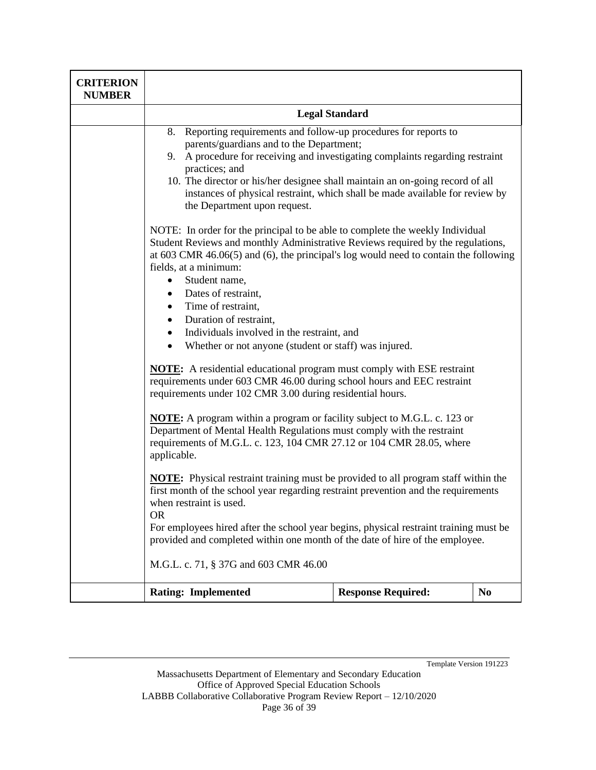| <b>CRITERION</b><br><b>NUMBER</b> |                                                                                                                                                                                                                                                                                                                                                                                                                                                                                                                                                                                                                                                                                                                                                                                                                                                                                                                                                                                                                                                                                                                                                                                                                                                                                                                                                                                                                                                                                                                                                                                                                                                                                                                                              |                           |                |
|-----------------------------------|----------------------------------------------------------------------------------------------------------------------------------------------------------------------------------------------------------------------------------------------------------------------------------------------------------------------------------------------------------------------------------------------------------------------------------------------------------------------------------------------------------------------------------------------------------------------------------------------------------------------------------------------------------------------------------------------------------------------------------------------------------------------------------------------------------------------------------------------------------------------------------------------------------------------------------------------------------------------------------------------------------------------------------------------------------------------------------------------------------------------------------------------------------------------------------------------------------------------------------------------------------------------------------------------------------------------------------------------------------------------------------------------------------------------------------------------------------------------------------------------------------------------------------------------------------------------------------------------------------------------------------------------------------------------------------------------------------------------------------------------|---------------------------|----------------|
|                                   | <b>Legal Standard</b>                                                                                                                                                                                                                                                                                                                                                                                                                                                                                                                                                                                                                                                                                                                                                                                                                                                                                                                                                                                                                                                                                                                                                                                                                                                                                                                                                                                                                                                                                                                                                                                                                                                                                                                        |                           |                |
|                                   | 8. Reporting requirements and follow-up procedures for reports to<br>parents/guardians and to the Department;<br>9. A procedure for receiving and investigating complaints regarding restraint<br>practices; and<br>10. The director or his/her designee shall maintain an on-going record of all<br>instances of physical restraint, which shall be made available for review by<br>the Department upon request.<br>NOTE: In order for the principal to be able to complete the weekly Individual<br>Student Reviews and monthly Administrative Reviews required by the regulations,<br>at $603$ CMR $46.06(5)$ and $(6)$ , the principal's log would need to contain the following<br>fields, at a minimum:<br>Student name,<br>$\bullet$<br>Dates of restraint,<br>Time of restraint,<br>Duration of restraint,<br>Individuals involved in the restraint, and<br>$\bullet$<br>Whether or not anyone (student or staff) was injured.<br>$\bullet$<br><b>NOTE:</b> A residential educational program must comply with ESE restraint<br>requirements under 603 CMR 46.00 during school hours and EEC restraint<br>requirements under 102 CMR 3.00 during residential hours.<br><b>NOTE:</b> A program within a program or facility subject to M.G.L. c. 123 or<br>Department of Mental Health Regulations must comply with the restraint<br>requirements of M.G.L. c. 123, 104 CMR 27.12 or 104 CMR 28.05, where<br>applicable.<br>NOTE: Physical restraint training must be provided to all program staff within the<br>first month of the school year regarding restraint prevention and the requirements<br>when restraint is used.<br><b>OR</b><br>For employees hired after the school year begins, physical restraint training must be |                           |                |
|                                   | provided and completed within one month of the date of hire of the employee.<br>M.G.L. c. 71, § 37G and 603 CMR 46.00                                                                                                                                                                                                                                                                                                                                                                                                                                                                                                                                                                                                                                                                                                                                                                                                                                                                                                                                                                                                                                                                                                                                                                                                                                                                                                                                                                                                                                                                                                                                                                                                                        |                           |                |
|                                   | <b>Rating: Implemented</b>                                                                                                                                                                                                                                                                                                                                                                                                                                                                                                                                                                                                                                                                                                                                                                                                                                                                                                                                                                                                                                                                                                                                                                                                                                                                                                                                                                                                                                                                                                                                                                                                                                                                                                                   | <b>Response Required:</b> | N <sub>0</sub> |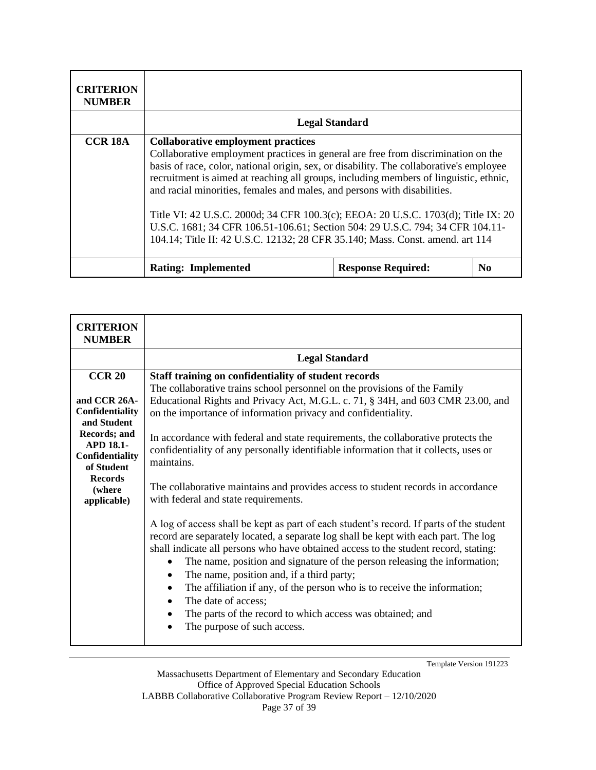| <b>CRITERION</b><br><b>NUMBER</b> |                                                                                                                                                                                                                                                                                                                                                                                                                                                                                                                                                                                                                                                       |                           |                |
|-----------------------------------|-------------------------------------------------------------------------------------------------------------------------------------------------------------------------------------------------------------------------------------------------------------------------------------------------------------------------------------------------------------------------------------------------------------------------------------------------------------------------------------------------------------------------------------------------------------------------------------------------------------------------------------------------------|---------------------------|----------------|
|                                   | <b>Legal Standard</b>                                                                                                                                                                                                                                                                                                                                                                                                                                                                                                                                                                                                                                 |                           |                |
| <b>CCR 18A</b>                    | <b>Collaborative employment practices</b><br>Collaborative employment practices in general are free from discrimination on the<br>basis of race, color, national origin, sex, or disability. The collaborative's employee<br>recruitment is aimed at reaching all groups, including members of linguistic, ethnic,<br>and racial minorities, females and males, and persons with disabilities.<br>Title VI: 42 U.S.C. 2000d; 34 CFR 100.3(c); EEOA: 20 U.S.C. 1703(d); Title IX: 20<br>U.S.C. 1681; 34 CFR 106.51-106.61; Section 504: 29 U.S.C. 794; 34 CFR 104.11-<br>104.14; Title II: 42 U.S.C. 12132; 28 CFR 35.140; Mass. Const. amend. art 114 |                           |                |
|                                   | <b>Rating: Implemented</b>                                                                                                                                                                                                                                                                                                                                                                                                                                                                                                                                                                                                                            | <b>Response Required:</b> | N <sub>0</sub> |

| <b>CRITERION</b><br><b>NUMBER</b>                                                                                                                                                |                                                                                                                                                                                                                                                                                                                                                                                                                                                                                                                                                                                                                                                                                                                                                                                                                                                                                                                                                                                                                                                                                                                                                                                                                                                    |
|----------------------------------------------------------------------------------------------------------------------------------------------------------------------------------|----------------------------------------------------------------------------------------------------------------------------------------------------------------------------------------------------------------------------------------------------------------------------------------------------------------------------------------------------------------------------------------------------------------------------------------------------------------------------------------------------------------------------------------------------------------------------------------------------------------------------------------------------------------------------------------------------------------------------------------------------------------------------------------------------------------------------------------------------------------------------------------------------------------------------------------------------------------------------------------------------------------------------------------------------------------------------------------------------------------------------------------------------------------------------------------------------------------------------------------------------|
|                                                                                                                                                                                  | <b>Legal Standard</b>                                                                                                                                                                                                                                                                                                                                                                                                                                                                                                                                                                                                                                                                                                                                                                                                                                                                                                                                                                                                                                                                                                                                                                                                                              |
| <b>CCR 20</b><br>and CCR 26A-<br>Confidentiality<br>and Student<br>Records; and<br><b>APD 18.1-</b><br>Confidentiality<br>of Student<br><b>Records</b><br>(where)<br>applicable) | Staff training on confidentiality of student records<br>The collaborative trains school personnel on the provisions of the Family<br>Educational Rights and Privacy Act, M.G.L. c. 71, § 34H, and 603 CMR 23.00, and<br>on the importance of information privacy and confidentiality.<br>In accordance with federal and state requirements, the collaborative protects the<br>confidentiality of any personally identifiable information that it collects, uses or<br>maintains.<br>The collaborative maintains and provides access to student records in accordance<br>with federal and state requirements.<br>A log of access shall be kept as part of each student's record. If parts of the student<br>record are separately located, a separate log shall be kept with each part. The log<br>shall indicate all persons who have obtained access to the student record, stating:<br>The name, position and signature of the person releasing the information;<br>The name, position and, if a third party;<br>The affiliation if any, of the person who is to receive the information;<br>٠<br>The date of access;<br>$\bullet$<br>The parts of the record to which access was obtained; and<br>٠<br>The purpose of such access.<br>$\bullet$ |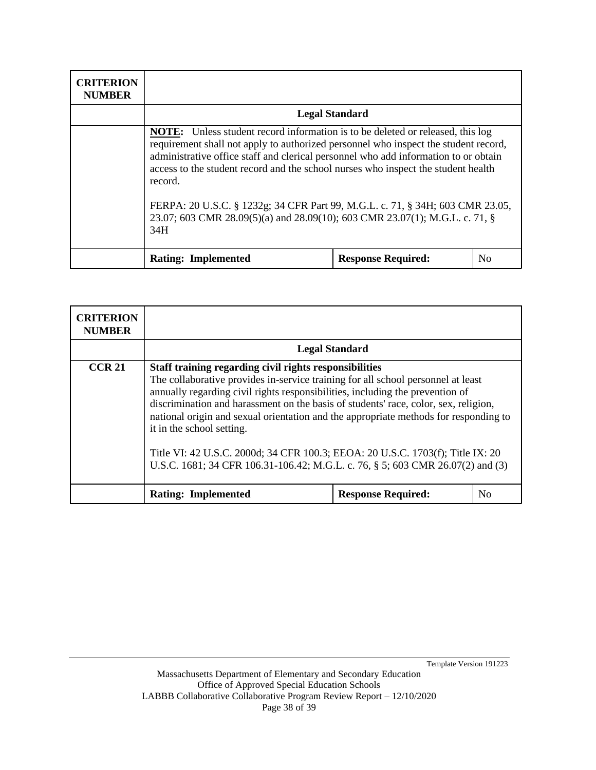| <b>CRITERION</b><br><b>NUMBER</b> |                                                                                                                                                                                                                                                                                                                                                                                                                                                                                                                                            |                           |                |
|-----------------------------------|--------------------------------------------------------------------------------------------------------------------------------------------------------------------------------------------------------------------------------------------------------------------------------------------------------------------------------------------------------------------------------------------------------------------------------------------------------------------------------------------------------------------------------------------|---------------------------|----------------|
|                                   | <b>Legal Standard</b>                                                                                                                                                                                                                                                                                                                                                                                                                                                                                                                      |                           |                |
|                                   | <b>NOTE:</b> Unless student record information is to be deleted or released, this log<br>requirement shall not apply to authorized personnel who inspect the student record,<br>administrative office staff and clerical personnel who add information to or obtain<br>access to the student record and the school nurses who inspect the student health<br>record.<br>FERPA: 20 U.S.C. § 1232g; 34 CFR Part 99, M.G.L. c. 71, § 34H; 603 CMR 23.05,<br>23.07; 603 CMR 28.09(5)(a) and 28.09(10); 603 CMR 23.07(1); M.G.L. c. 71, §<br>34H |                           |                |
|                                   | <b>Rating: Implemented</b>                                                                                                                                                                                                                                                                                                                                                                                                                                                                                                                 | <b>Response Required:</b> | N <sub>0</sub> |

| <b>CRITERION</b><br><b>NUMBER</b> |                                                                                                                                                                                                                                                                                                                                                                                                                                                                                                                                                                                                             |                           |    |
|-----------------------------------|-------------------------------------------------------------------------------------------------------------------------------------------------------------------------------------------------------------------------------------------------------------------------------------------------------------------------------------------------------------------------------------------------------------------------------------------------------------------------------------------------------------------------------------------------------------------------------------------------------------|---------------------------|----|
|                                   | <b>Legal Standard</b>                                                                                                                                                                                                                                                                                                                                                                                                                                                                                                                                                                                       |                           |    |
| <b>CCR 21</b>                     | Staff training regarding civil rights responsibilities<br>The collaborative provides in-service training for all school personnel at least<br>annually regarding civil rights responsibilities, including the prevention of<br>discrimination and harassment on the basis of students' race, color, sex, religion,<br>national origin and sexual orientation and the appropriate methods for responding to<br>it in the school setting.<br>Title VI: 42 U.S.C. 2000d; 34 CFR 100.3; EEOA: 20 U.S.C. 1703(f); Title IX: 20<br>U.S.C. 1681; 34 CFR 106.31-106.42; M.G.L. c. 76, § 5; 603 CMR 26.07(2) and (3) |                           |    |
|                                   | <b>Rating: Implemented</b>                                                                                                                                                                                                                                                                                                                                                                                                                                                                                                                                                                                  | <b>Response Required:</b> | No |